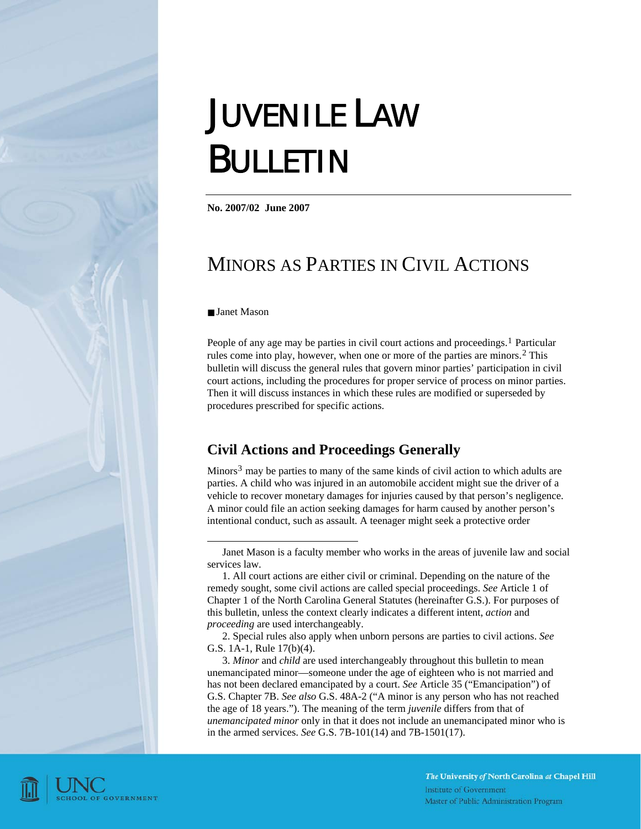# JUVENILE LAW BULLETIN

**No. 2007/02 June 2007** 

# MINORS AS PARTIES IN CIVIL ACTIONS

Janet Mason

 $\overline{a}$ 

People of any age may be parties in civil court actions and proceedings.<sup>[1](#page-0-0)</sup> Particular rules come into play, however, when one or more of the parties are minors.<sup>[2](#page-0-1)</sup> This bulletin will discuss the general rules that govern minor parties' participation in civil court actions, including the procedures for proper service of process on minor parties. Then it will discuss instances in which these rules are modified or superseded by procedures prescribed for specific actions.

# **Civil Actions and Proceedings Generally**

Minors<sup>[3](#page-0-2)</sup> may be parties to many of the same kinds of civil action to which adults are parties. A child who was injured in an automobile accident might sue the driver of a vehicle to recover monetary damages for injuries caused by that person's negligence. A minor could file an action seeking damages for harm caused by another person's intentional conduct, such as assault. A teenager might seek a protective order

2. Special rules also apply when unborn persons are parties to civil actions. *See* G.S. 1A-1, Rule 17(b)(4).

3. *Minor* and *child* are used interchangeably throughout this bulletin to mean unemancipated minor—someone under the age of eighteen who is not married and has not been declared emancipated by a court. *See* Article 35 ("Emancipation") of G.S. Chapter 7B. *See also* G.S. 48A-2 ("A minor is any person who has not reached the age of 18 years."). The meaning of the term *juvenile* differs from that of *unemancipated minor* only in that it does not include an unemancipated minor who is in the armed services. *See* G.S. 7B-101(14) and 7B-1501(17).

<span id="page-0-2"></span><span id="page-0-1"></span>

<span id="page-0-0"></span>Janet Mason is a faculty member who works in the areas of juvenile law and social services law.

<sup>1.</sup> All court actions are either civil or criminal. Depending on the nature of the remedy sought, some civil actions are called special proceedings. *See* Article 1 of Chapter 1 of the North Carolina General Statutes (hereinafter G.S.). For purposes of this bulletin, unless the context clearly indicates a different intent, *action* and *proceeding* are used interchangeably.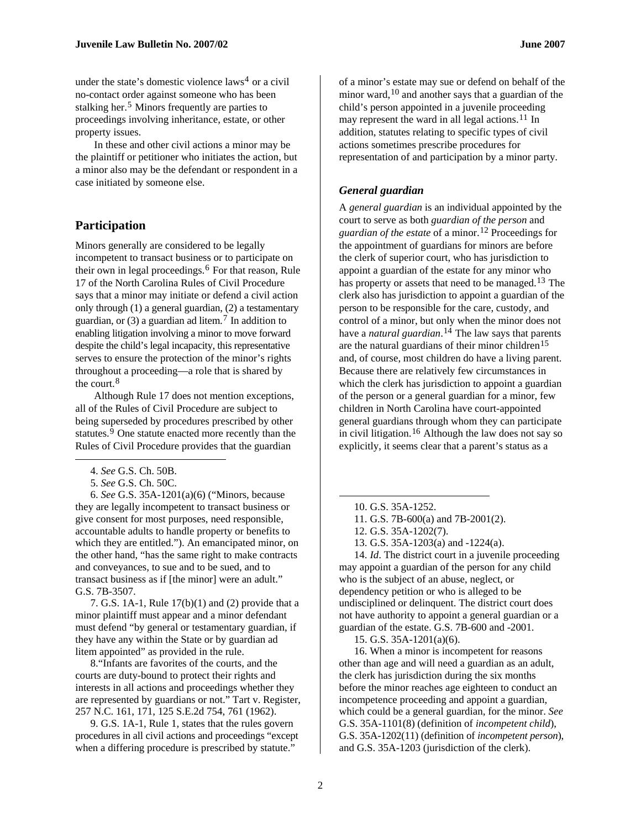under the state's domestic violence  $laws<sup>4</sup>$  $laws<sup>4</sup>$  $laws<sup>4</sup>$  or a civil no-contact order against someone who has been stalking her.<sup>[5](#page-1-1)</sup> Minors frequently are parties to proceedings involving inheritance, estate, or other

property issues. In these and other civil actions a minor may be the plaintiff or petitioner who initiates the action, but a minor also may be the defendant or respondent in a case initiated by someone else.

#### **Participation**

Minors generally are considered to be legally incompetent to transact business or to participate on their own in legal proceedings. $6$  For that reason, Rule 17 of the North Carolina Rules of Civil Procedure says that a minor may initiate or defend a civil action only through (1) a general guardian, (2) a testamentary guardian, or  $(3)$  a guardian ad litem.<sup>[7](#page-1-3)</sup> In addition to enabling litigation involving a minor to move forward despite the child's legal incapacity, this representative serves to ensure the protection of the minor's rights throughout a proceeding—a role that is shared by the court.<sup>[8](#page-1-4)</sup>

Although Rule 17 does not mention exceptions, all of the Rules of Civil Procedure are subject to being superseded by procedures prescribed by other statutes.<sup>[9](#page-1-5)</sup> One statute enacted more recently than the Rules of Civil Procedure provides that the guardian

<span id="page-1-0"></span> $\overline{a}$ 

<span id="page-1-9"></span><span id="page-1-8"></span><span id="page-1-7"></span><span id="page-1-6"></span><span id="page-1-2"></span><span id="page-1-1"></span>6. *See* G.S. 35A-1201(a)(6) ("Minors, because they are legally incompetent to transact business or give consent for most purposes, need responsible, accountable adults to handle property or benefits to which they are entitled."). An emancipated minor, on the other hand, "has the same right to make contracts and conveyances, to sue and to be sued, and to transact business as if [the minor] were an adult." G.S. 7B-3507.

<span id="page-1-10"></span><span id="page-1-3"></span>7. G.S. 1A-1, Rule 17(b)(1) and (2) provide that a minor plaintiff must appear and a minor defendant must defend "by general or testamentary guardian, if they have any within the State or by guardian ad litem appointed" as provided in the rule.

<span id="page-1-12"></span><span id="page-1-11"></span><span id="page-1-4"></span>8."Infants are favorites of the courts, and the courts are duty-bound to protect their rights and interests in all actions and proceedings whether they are represented by guardians or not." Tart v. Register, 257 N.C. 161, 171, 125 S.E.2d 754, 761 (1962).

<span id="page-1-5"></span>9. G.S. 1A-1, Rule 1, states that the rules govern procedures in all civil actions and proceedings "except when a differing procedure is prescribed by statute."

of a minor's estate may sue or defend on behalf of the minor ward,  $10$  and another says that a guardian of the child's person appointed in a juvenile proceeding may represent the ward in all legal actions.<sup>[11](#page-1-7)</sup> In addition, statutes relating to specific types of civil actions sometimes prescribe procedures for representation of and participation by a minor party.

#### *General guardian*

A *general guardian* is an individual appointed by the court to serve as both *guardian of the person* and *guardian of the estate* of a minor.[12](#page-1-8) Proceedings for the appointment of guardians for minors are before the clerk of superior court, who has jurisdiction to appoint a guardian of the estate for any minor who has property or assets that need to be managed.<sup>[13](#page-1-9)</sup> The clerk also has jurisdiction to appoint a guardian of the person to be responsible for the care, custody, and control of a minor, but only when the minor does not have a *natural guardian*. [14](#page-1-10) The law says that parents are the natural guardians of their minor children<sup>[15](#page-1-11)</sup> and, of course, most children do have a living parent. Because there are relatively few circumstances in which the clerk has jurisdiction to appoint a guardian of the person or a general guardian for a minor, few children in North Carolina have court-appointed general guardians through whom they can participate in civil litigation.<sup>[16](#page-1-12)</sup> Although the law does not say so explicitly, it seems clear that a parent's status as a

10. G.S. 35A-1252.

1

- 11. G.S. 7B-600(a) and 7B-2001(2).
- 12. G.S. 35A-1202(7).
- 13. G.S. 35A-1203(a) and -1224(a).

14. *Id*. The district court in a juvenile proceeding may appoint a guardian of the person for any child who is the subject of an abuse, neglect, or dependency petition or who is alleged to be undisciplined or delinquent. The district court does not have authority to appoint a general guardian or a guardian of the estate. G.S. 7B-600 and -2001.

15. G.S. 35A-1201(a)(6).

16. When a minor is incompetent for reasons other than age and will need a guardian as an adult, the clerk has jurisdiction during the six months before the minor reaches age eighteen to conduct an incompetence proceeding and appoint a guardian, which could be a general guardian, for the minor. *See* G.S. 35A-1101(8) (definition of *incompetent child*), G.S. 35A-1202(11) (definition of *incompetent person*), and G.S. 35A-1203 (jurisdiction of the clerk).

<sup>4.</sup> *See* G.S. Ch. 50B.

<sup>5.</sup> *See* G.S. Ch. 50C.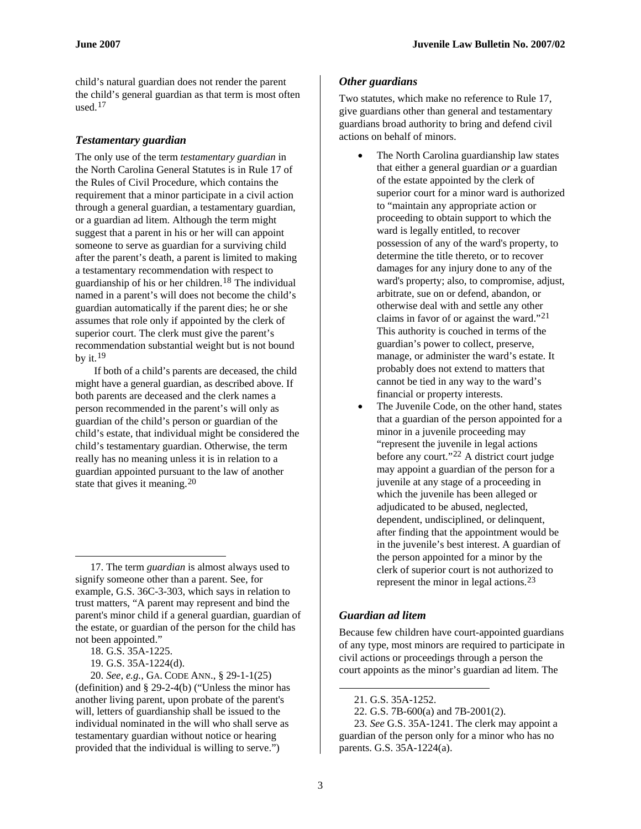child's natural guardian does not render the parent the child's general guardian as that term is most often used. $17$ 

#### *Testamentary guardian*

The only use of the term *testamentary guardian* in the North Carolina General Statutes is in Rule 17 of the Rules of Civil Procedure, which contains the requirement that a minor participate in a civil action through a general guardian, a testamentary guardian, or a guardian ad litem. Although the term might suggest that a parent in his or her will can appoint someone to serve as guardian for a surviving child after the parent's death, a parent is limited to making a testamentary recommendation with respect to guardianship of his or her children.[18](#page-2-1) The individual named in a parent's will does not become the child's guardian automatically if the parent dies; he or she assumes that role only if appointed by the clerk of superior court. The clerk must give the parent's recommendation substantial weight but is not bound by it.  $19$ 

If both of a child's parents are deceased, the child might have a general guardian, as described above. If both parents are deceased and the clerk names a person recommended in the parent's will only as guardian of the child's person or guardian of the child's estate, that individual might be considered the child's testamentary guardian. Otherwise, the term really has no meaning unless it is in relation to a guardian appointed pursuant to the law of another state that gives it meaning.<sup>[20](#page-2-3)</sup>

 $\overline{a}$ 

19. G.S. 35A-1224(d).

#### *Other guardians*

Two statutes, which make no reference to Rule 17, give guardians other than general and testamentary guardians broad authority to bring and defend civil actions on behalf of minors.

- The North Carolina guardianship law states that either a general guardian *or* a guardian of the estate appointed by the clerk of superior court for a minor ward is authorized to "maintain any appropriate action or proceeding to obtain support to which the ward is legally entitled, to recover possession of any of the ward's property, to determine the title thereto, or to recover damages for any injury done to any of the ward's property; also, to compromise, adjust, arbitrate, sue on or defend, abandon, or otherwise deal with and settle any other claims in favor of or against the ward."[21](#page-2-4) This authority is couched in terms of the guardian's power to collect, preserve, manage, or administer the ward's estate. It probably does not extend to matters that cannot be tied in any way to the ward's financial or property interests.
- The Juvenile Code, on the other hand, states that a guardian of the person appointed for a minor in a juvenile proceeding may "represent the juvenile in legal actions before any court."[22](#page-2-5) A district court judge may appoint a guardian of the person for a juvenile at any stage of a proceeding in which the juvenile has been alleged or adjudicated to be abused, neglected, dependent, undisciplined, or delinquent, after finding that the appointment would be in the juvenile's best interest. A guardian of the person appointed for a minor by the clerk of superior court is not authorized to represent the minor in legal actions.[23](#page-2-6)

#### *Guardian ad litem*

Because few children have court-appointed guardians of any type, most minors are required to participate in civil actions or proceedings through a person the court appoints as the minor's guardian ad litem. The

<span id="page-2-0"></span><sup>17.</sup> The term *guardian* is almost always used to signify someone other than a parent. See, for example, G.S. 36C-3-303, which says in relation to trust matters, "A parent may represent and bind the parent's minor child if a general guardian, guardian of the estate, or guardian of the person for the child has not been appointed."

<sup>18.</sup> G.S. 35A-1225.

<span id="page-2-6"></span><span id="page-2-5"></span><span id="page-2-4"></span><span id="page-2-3"></span><span id="page-2-2"></span><span id="page-2-1"></span><sup>20.</sup> *See*, *e.g.*, GA. CODE ANN., § 29-1-1(25) (definition) and § 29-2-4(b) ("Unless the minor has another living parent, upon probate of the parent's will, letters of guardianship shall be issued to the individual nominated in the will who shall serve as testamentary guardian without notice or hearing provided that the individual is willing to serve.")

<sup>21.</sup> G.S. 35A-1252.

<sup>22.</sup> G.S. 7B-600(a) and 7B-2001(2).

<sup>23.</sup> *See* G.S. 35A-1241. The clerk may appoint a guardian of the person only for a minor who has no parents. G.S. 35A-1224(a).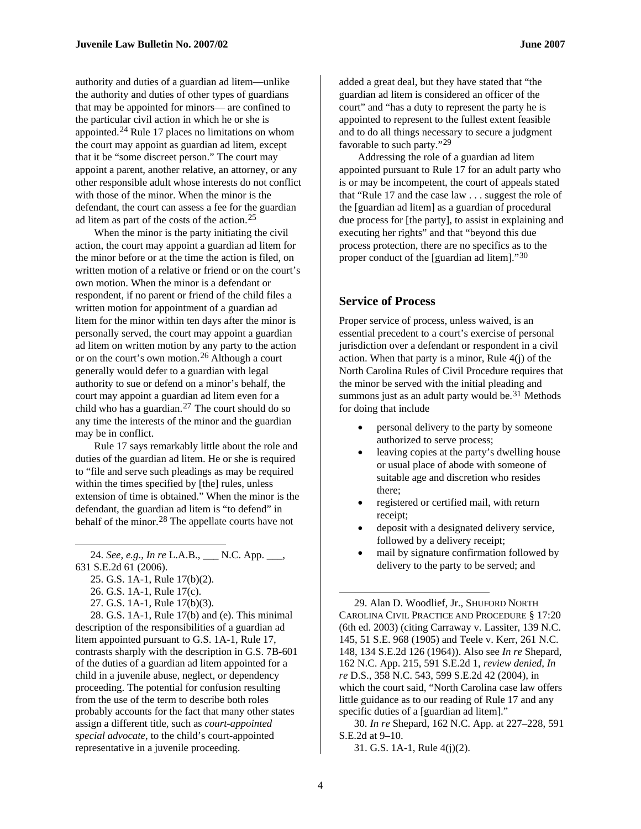authority and duties of a guardian ad litem—unlike the authority and duties of other types of guardians that may be appointed for minors— are confined to the particular civil action in which he or she is appointed.[24](#page-3-0) Rule 17 places no limitations on whom the court may appoint as guardian ad litem, except that it be "some discreet person." The court may appoint a parent, another relative, an attorney, or any other responsible adult whose interests do not conflict with those of the minor. When the minor is the defendant, the court can assess a fee for the guardian

ad litem as part of the costs of the action.[25](#page-3-1) When the minor is the party initiating the civil action, the court may appoint a guardian ad litem for the minor before or at the time the action is filed, on written motion of a relative or friend or on the court's own motion. When the minor is a defendant or respondent, if no parent or friend of the child files a written motion for appointment of a guardian ad litem for the minor within ten days after the minor is personally served, the court may appoint a guardian ad litem on written motion by any party to the action or on the court's own motion.[26](#page-3-2) Although a court generally would defer to a guardian with legal authority to sue or defend on a minor's behalf, the court may appoint a guardian ad litem even for a child who has a guardian. $27$  The court should do so any time the interests of the minor and the guardian may be in conflict.

Rule 17 says remarkably little about the role and duties of the guardian ad litem. He or she is required to "file and serve such pleadings as may be required within the times specified by [the] rules, unless extension of time is obtained." When the minor is the defendant, the guardian ad litem is "to defend" in behalf of the minor.<sup>[28](#page-3-4)</sup> The appellate courts have not

<span id="page-3-1"></span><span id="page-3-0"></span>24. *See*, *e.g*., *In re* L.A.B., \_\_\_ N.C. App. \_\_\_, 631 S.E.2d 61 (2006).

-

<span id="page-3-6"></span><span id="page-3-5"></span><span id="page-3-4"></span><span id="page-3-3"></span><span id="page-3-2"></span>28. G.S. 1A-1, Rule 17(b) and (e). This minimal description of the responsibilities of a guardian ad litem appointed pursuant to G.S. 1A-1, Rule 17, contrasts sharply with the description in G.S. 7B-601 of the duties of a guardian ad litem appointed for a child in a juvenile abuse, neglect, or dependency proceeding. The potential for confusion resulting from the use of the term to describe both roles probably accounts for the fact that many other states assign a different title, such as *court-appointed special advocate*, to the child's court-appointed representative in a juvenile proceeding.

added a great deal, but they have stated that "the guardian ad litem is considered an officer of the court" and "has a duty to represent the party he is appointed to represent to the fullest extent feasible and to do all things necessary to secure a judgment favorable to such party."[29](#page-3-3)

Addressing the role of a guardian ad litem appointed pursuant to Rule 17 for an adult party who is or may be incompetent, the court of appeals stated that "Rule 17 and the case law . . . suggest the role of the [guardian ad litem] as a guardian of procedural due process for [the party], to assist in explaining and executing her rights" and that "beyond this due process protection, there are no specifics as to the proper conduct of the [guardian ad litem]."<sup>[30](#page-3-5)</sup>

#### **Service of Process**

Proper service of process, unless waived, is an essential precedent to a court's exercise of personal jurisdiction over a defendant or respondent in a civil action. When that party is a minor, Rule  $4(i)$  of the North Carolina Rules of Civil Procedure requires that the minor be served with the initial pleading and summons just as an adult party would be. $31$  Methods for doing that include

- personal delivery to the party by someone authorized to serve process;
- leaving copies at the party's dwelling house or usual place of abode with someone of suitable age and discretion who resides there;
- registered or certified mail, with return receipt;
- deposit with a designated delivery service, followed by a delivery receipt;
- mail by signature confirmation followed by delivery to the party to be served; and

29. Alan D. Woodlief, Jr., SHUFORD NORTH CAROLINA CIVIL PRACTICE AND PROCEDURE § 17:20 (6th ed. 2003) (citing Carraway v. Lassiter, 139 N.C. 145, 51 S.E. 968 (1905) and Teele v. Kerr, 261 N.C. 148, 134 S.E.2d 126 (1964)). Also see *In re* Shepard, 162 N.C. App. 215, 591 S.E.2d 1, *review denied*, *In re* D.S., 358 N.C. 543, 599 S.E.2d 42 (2004), in which the court said, "North Carolina case law offers little guidance as to our reading of Rule 17 and any specific duties of a [guardian ad litem]."

30. *In re* Shepard, 162 N.C. App. at 227–228, 591 S.E.2d at 9–10.

31. G.S. 1A-1, Rule 4(j)(2).

<sup>25.</sup> G.S. 1A-1, Rule 17(b)(2).

<sup>26.</sup> G.S. 1A-1, Rule 17(c).

<sup>27.</sup> G.S. 1A-1, Rule 17(b)(3).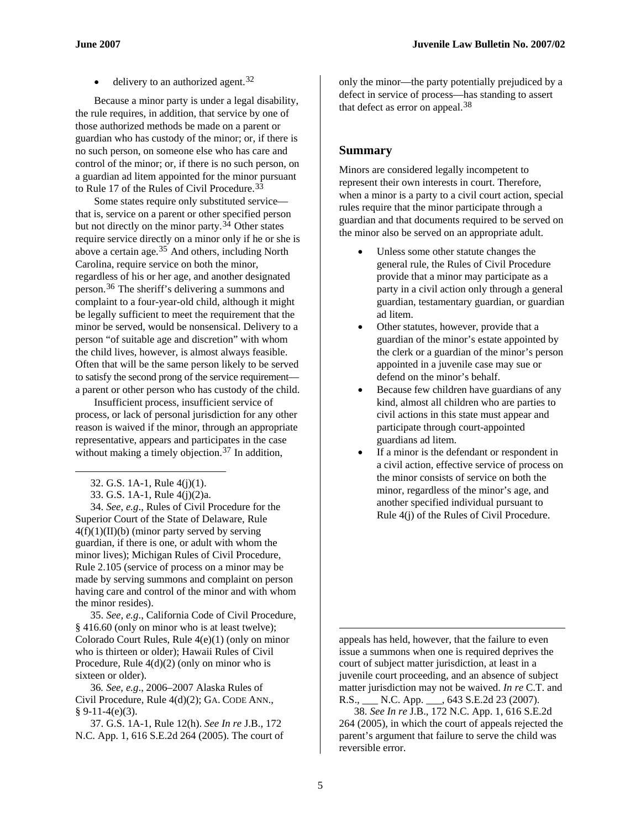delivery to an authorized agent. $32$ 

Because a minor party is under a legal disability, the rule requires, in addition, that service by one of those authorized methods be made on a parent or guardian who has custody of the minor; or, if there is no such person, on someone else who has care and control of the minor; or, if there is no such person, on a guardian ad litem appointed for the minor pursuant to Rule 17 of the Rules of Civil Procedure.<sup>[33](#page-4-1)</sup>

Some states require only substituted service that is, service on a parent or other specified person but not directly on the minor party. $3\overline{4}$  Other states require service directly on a minor only if he or she is above a certain age.[35](#page-4-3) And others, including North Carolina, require service on both the minor, regardless of his or her age, and another designated person.[36](#page-4-4) The sheriff's delivering a summons and complaint to a four-year-old child, although it might be legally sufficient to meet the requirement that the minor be served, would be nonsensical. Delivery to a person "of suitable age and discretion" with whom the child lives, however, is almost always feasible. Often that will be the same person likely to be served to satisfy the second prong of the service requirement a parent or other person who has custody of the child.

Insufficient process, insufficient service of process, or lack of personal jurisdiction for any other reason is waived if the minor, through an appropriate representative, appears and participates in the case without making a timely objection.<sup>[37](#page-4-5)</sup> In addition,

<span id="page-4-0"></span> $\overline{a}$ 

<span id="page-4-2"></span><span id="page-4-1"></span>34. *See*, *e.g*., Rules of Civil Procedure for the Superior Court of the State of Delaware, Rule  $4(f)(1)(II)(b)$  (minor party served by serving guardian, if there is one, or adult with whom the minor lives); Michigan Rules of Civil Procedure, Rule 2.105 (service of process on a minor may be made by serving summons and complaint on person having care and control of the minor and with whom the minor resides).

<span id="page-4-3"></span>35. *See, e.g*., California Code of Civil Procedure, § 416.60 (only on minor who is at least twelve); Colorado Court Rules, Rule 4(e)(1) (only on minor who is thirteen or older); Hawaii Rules of Civil Procedure, Rule 4(d)(2) (only on minor who is sixteen or older).

<span id="page-4-4"></span>36*. See, e.g*., 2006–2007 Alaska Rules of Civil Procedure, Rule 4(d)(2); GA. CODE ANN.,  $§ 9-11-4(e)(3).$ 

<span id="page-4-6"></span><span id="page-4-5"></span>37. G.S. 1A-1, Rule 12(h). *See In re* J.B., 172 N.C. App. 1, 616 S.E.2d 264 (2005). The court of only the minor—the party potentially prejudiced by a defect in service of process—has standing to assert that defect as error on appeal.[38](#page-4-6)

#### **Summary**

Minors are considered legally incompetent to represent their own interests in court. Therefore, when a minor is a party to a civil court action, special rules require that the minor participate through a guardian and that documents required to be served on the minor also be served on an appropriate adult.

- Unless some other statute changes the general rule, the Rules of Civil Procedure provide that a minor may participate as a party in a civil action only through a general guardian, testamentary guardian, or guardian ad litem.
- Other statutes, however, provide that a guardian of the minor's estate appointed by the clerk or a guardian of the minor's person appointed in a juvenile case may sue or defend on the minor's behalf.
- Because few children have guardians of any kind, almost all children who are parties to civil actions in this state must appear and participate through court-appointed guardians ad litem.
- If a minor is the defendant or respondent in a civil action, effective service of process on the minor consists of service on both the minor, regardless of the minor's age, and another specified individual pursuant to Rule 4(j) of the Rules of Civil Procedure.

appeals has held, however, that the failure to even issue a summons when one is required deprives the court of subject matter jurisdiction, at least in a juvenile court proceeding, and an absence of subject matter jurisdiction may not be waived. *In re* C.T. and R.S., \_\_\_ N.C. App. \_\_\_, 643 S.E.2d 23 (2007).

38. *See In re* J.B., 172 N.C. App. 1, 616 S.E.2d 264 (2005), in which the court of appeals rejected the parent's argument that failure to serve the child was reversible error.

<sup>32.</sup> G.S. 1A-1, Rule 4(j)(1).

<sup>33.</sup> G.S. 1A-1, Rule 4(j)(2)a.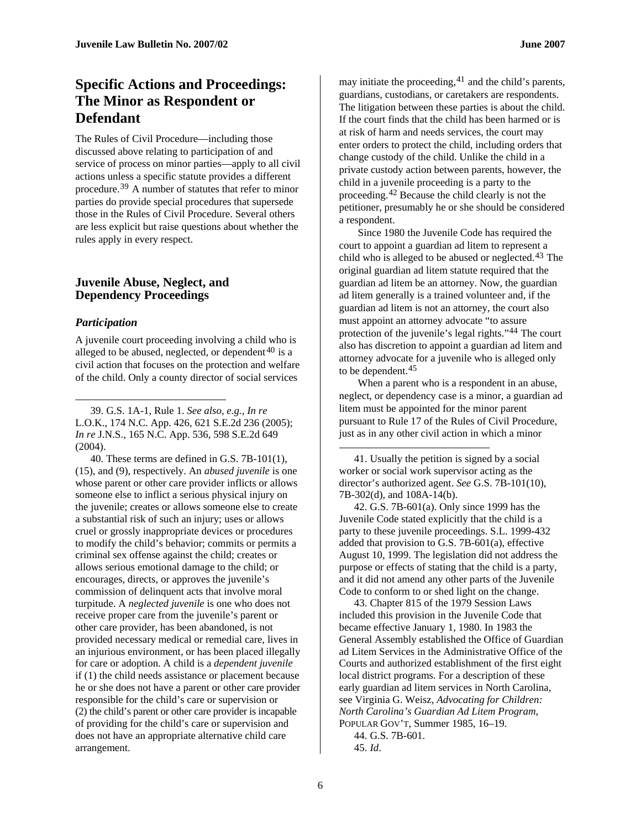# **Specific Actions and Proceedings: The Minor as Respondent or Defendant**

The Rules of Civil Procedure—including those discussed above relating to participation of and service of process on minor parties—apply to all civil actions unless a specific statute provides a different procedure.[39](#page-5-0) A number of statutes that refer to minor parties do provide special procedures that supersede those in the Rules of Civil Procedure. Several others are less explicit but raise questions about whether the rules apply in every respect.

#### **Juvenile Abuse, Neglect, and Dependency Proceedings**

#### *Participation*

 $\overline{a}$ 

A juvenile court proceeding involving a child who is alleged to be abused, neglected, or dependent  $40$  is a civil action that focuses on the protection and welfare of the child. Only a county director of social services

<span id="page-5-0"></span>39. G.S. 1A-1, Rule 1. *See also, e.g., In re* L.O.K., 174 N.C. App. 426, 621 S.E.2d 236 (2005); *In re* J.N.S., 165 N.C. App. 536, 598 S.E.2d 649 (2004).

<span id="page-5-5"></span><span id="page-5-4"></span><span id="page-5-3"></span><span id="page-5-2"></span><span id="page-5-1"></span>40. These terms are defined in G.S. 7B-101(1), (15), and (9), respectively. An *abused juvenile* is one whose parent or other care provider inflicts or allows someone else to inflict a serious physical injury on the juvenile; creates or allows someone else to create a substantial risk of such an injury; uses or allows cruel or grossly inappropriate devices or procedures to modify the child's behavior; commits or permits a criminal sex offense against the child; creates or allows serious emotional damage to the child; or encourages, directs, or approves the juvenile's commission of delinquent acts that involve moral turpitude. A *neglected juvenile* is one who does not receive proper care from the juvenile's parent or other care provider, has been abandoned, is not provided necessary medical or remedial care, lives in an injurious environment, or has been placed illegally for care or adoption. A child is a *dependent juvenile* if (1) the child needs assistance or placement because he or she does not have a parent or other care provider responsible for the child's care or supervision or (2) the child's parent or other care provider is incapable of providing for the child's care or supervision and does not have an appropriate alternative child care arrangement.

may initiate the proceeding,  $41$  and the child's parents, guardians, custodians, or caretakers are respondents. The litigation between these parties is about the child. If the court finds that the child has been harmed or is at risk of harm and needs services, the court may enter orders to protect the child, including orders that change custody of the child. Unlike the child in a private custody action between parents, however, the child in a juvenile proceeding is a party to the proceeding.[42](#page-5-2) Because the child clearly is not the petitioner, presumably he or she should be considered a respondent.

Since 1980 the Juvenile Code has required the court to appoint a guardian ad litem to represent a child who is alleged to be abused or neglected.<sup>[43](#page-5-3)</sup> The original guardian ad litem statute required that the guardian ad litem be an attorney. Now, the guardian ad litem generally is a trained volunteer and, if the guardian ad litem is not an attorney, the court also must appoint an attorney advocate "to assure protection of the juvenile's legal rights."[44](#page-5-4) The court also has discretion to appoint a guardian ad litem and attorney advocate for a juvenile who is alleged only to be dependent.[45](#page-5-5)

When a parent who is a respondent in an abuse, neglect, or dependency case is a minor, a guardian ad litem must be appointed for the minor parent pursuant to Rule 17 of the Rules of Civil Procedure, just as in any other civil action in which a minor

41. Usually the petition is signed by a social worker or social work supervisor acting as the director's authorized agent. *See* G.S. 7B-101(10), 7B-302(d), and 108A-14(b).

42. G.S. 7B-601(a). Only since 1999 has the Juvenile Code stated explicitly that the child is a party to these juvenile proceedings. S.L. 1999-432 added that provision to G.S. 7B-601(a), effective August 10, 1999. The legislation did not address the purpose or effects of stating that the child is a party, and it did not amend any other parts of the Juvenile Code to conform to or shed light on the change.

43. Chapter 815 of the 1979 Session Laws included this provision in the Juvenile Code that became effective January 1, 1980. In 1983 the General Assembly established the Office of Guardian ad Litem Services in the Administrative Office of the Courts and authorized establishment of the first eight local district programs. For a description of these early guardian ad litem services in North Carolina, see Virginia G. Weisz, *Advocating for Children: North Carolina's Guardian Ad Litem Program*, POPULAR GOV'T, Summer 1985, 16–19.

44. G.S. 7B-601. 45. *Id*.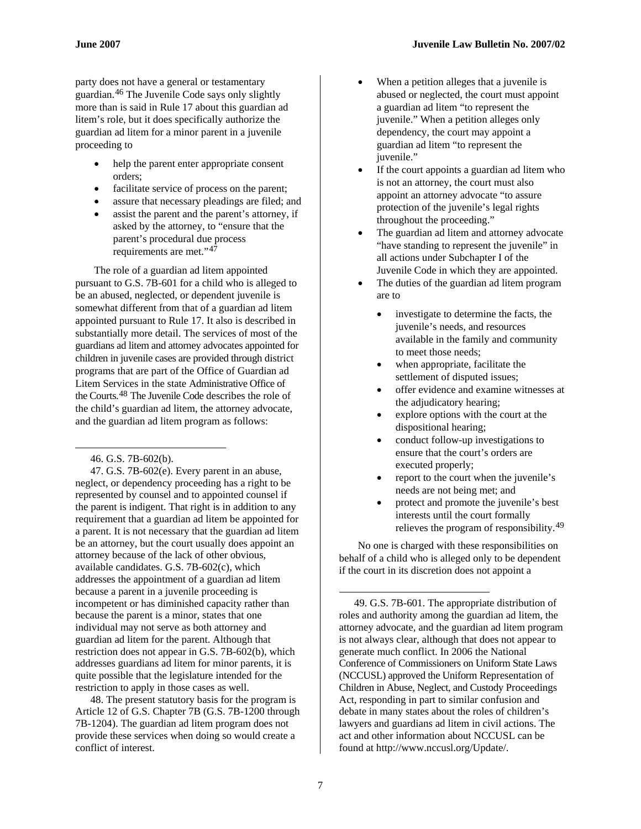party does not have a general or testamentary guardian.[46](#page-6-0) The Juvenile Code says only slightly more than is said in Rule 17 about this guardian ad litem's role, but it does specifically authorize the guardian ad litem for a minor parent in a juvenile proceeding to

- help the parent enter appropriate consent orders;
- facilitate service of process on the parent;
- assure that necessary pleadings are filed; and
- assist the parent and the parent's attorney, if asked by the attorney, to "ensure that the parent's procedural due process requirements are met."[47](#page-6-1)

The role of a guardian ad litem appointed pursuant to G.S. 7B-601 for a child who is alleged to be an abused, neglected, or dependent juvenile is somewhat different from that of a guardian ad litem appointed pursuant to Rule 17. It also is described in substantially more detail. The services of most of the guardians ad litem and attorney advocates appointed for children in juvenile cases are provided through district programs that are part of the Office of Guardian ad Litem Services in the state Administrative Office of the Courts.[48](#page-6-2) The Juvenile Code describes the role of the child's guardian ad litem, the attorney advocate, and the guardian ad litem program as follows:

-

<span id="page-6-1"></span><span id="page-6-0"></span>47. G.S. 7B-602(e). Every parent in an abuse, neglect, or dependency proceeding has a right to be represented by counsel and to appointed counsel if the parent is indigent. That right is in addition to any requirement that a guardian ad litem be appointed for a parent. It is not necessary that the guardian ad litem be an attorney, but the court usually does appoint an attorney because of the lack of other obvious, available candidates. G.S. 7B-602(c), which addresses the appointment of a guardian ad litem because a parent in a juvenile proceeding is incompetent or has diminished capacity rather than because the parent is a minor, states that one individual may not serve as both attorney and guardian ad litem for the parent. Although that restriction does not appear in G.S. 7B-602(b), which addresses guardians ad litem for minor parents, it is quite possible that the legislature intended for the restriction to apply in those cases as well.

<span id="page-6-3"></span><span id="page-6-2"></span>48. The present statutory basis for the program is Article 12 of G.S. Chapter 7B (G.S. 7B-1200 through 7B-1204). The guardian ad litem program does not provide these services when doing so would create a conflict of interest.

- When a petition alleges that a juvenile is abused or neglected, the court must appoint a guardian ad litem "to represent the juvenile." When a petition alleges only dependency, the court may appoint a guardian ad litem "to represent the iuvenile."
- If the court appoints a guardian ad litem who is not an attorney, the court must also appoint an attorney advocate "to assure protection of the juvenile's legal rights throughout the proceeding."
- The guardian ad litem and attorney advocate "have standing to represent the juvenile" in all actions under Subchapter I of the Juvenile Code in which they are appointed.
- The duties of the guardian ad litem program are to
	- investigate to determine the facts, the juvenile's needs, and resources available in the family and community to meet those needs;
	- when appropriate, facilitate the settlement of disputed issues;
	- offer evidence and examine witnesses at the adjudicatory hearing;
	- explore options with the court at the dispositional hearing;
	- conduct follow-up investigations to ensure that the court's orders are executed properly;
	- report to the court when the juvenile's needs are not being met; and
	- protect and promote the juvenile's best interests until the court formally relieves the program of responsibility.[49](#page-6-3)

No one is charged with these responsibilities on behalf of a child who is alleged only to be dependent if the court in its discretion does not appoint a

-49. G.S. 7B-601. The appropriate distribution of roles and authority among the guardian ad litem, the attorney advocate, and the guardian ad litem program is not always clear, although that does not appear to generate much conflict. In 2006 the National Conference of Commissioners on Uniform State Laws (NCCUSL) approved the Uniform Representation of Children in Abuse, Neglect, and Custody Proceedings Act, responding in part to similar confusion and debate in many states about the roles of children's lawyers and guardians ad litem in civil actions. The act and other information about NCCUSL can be found at http://www.nccusl.org/Update/.

<sup>46.</sup> G.S. 7B-602(b).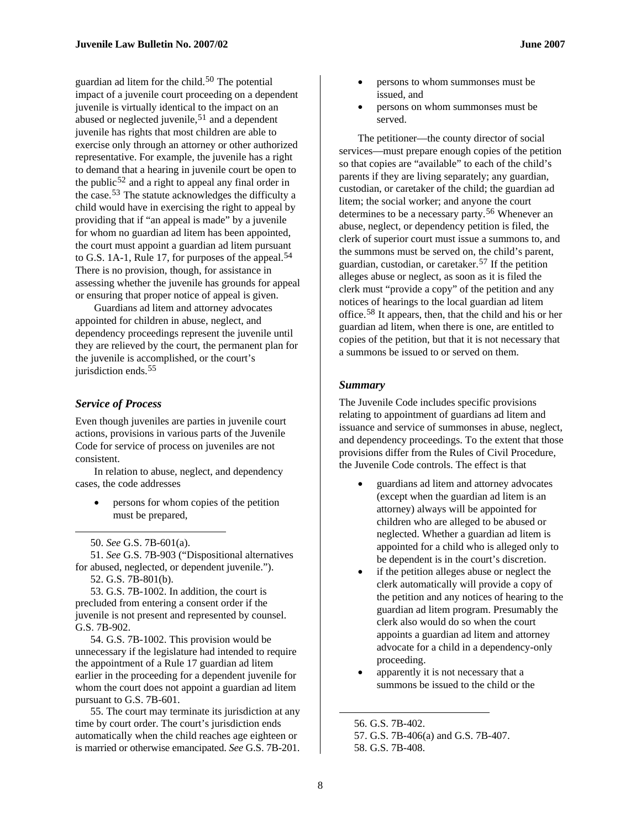guardian ad litem for the child.<sup>[50](#page-7-0)</sup> The potential impact of a juvenile court proceeding on a dependent juvenile is virtually identical to the impact on an abused or neglected juvenile,  $51$  and a dependent juvenile has rights that most children are able to exercise only through an attorney or other authorized representative. For example, the juvenile has a right to demand that a hearing in juvenile court be open to the public<sup>[52](#page-7-2)</sup> and a right to appeal any final order in the case.[53](#page-7-3) The statute acknowledges the difficulty a child would have in exercising the right to appeal by providing that if "an appeal is made" by a juvenile for whom no guardian ad litem has been appointed, the court must appoint a guardian ad litem pursuant to G.S. 1A-1, Rule 17, for purposes of the appeal.<sup>[54](#page-7-4)</sup> There is no provision, though, for assistance in assessing whether the juvenile has grounds for appeal or ensuring that proper notice of appeal is given.

Guardians ad litem and attorney advocates appointed for children in abuse, neglect, and dependency proceedings represent the juvenile until they are relieved by the court, the permanent plan for the juvenile is accomplished, or the court's jurisdiction ends.<sup>[55](#page-7-5)</sup>

#### *Service of Process*

Even though juveniles are parties in juvenile court actions, provisions in various parts of the Juvenile Code for service of process on juveniles are not consistent.

In relation to abuse, neglect, and dependency cases, the code addresses

• persons for whom copies of the petition must be prepared,

 $\overline{a}$ 

<span id="page-7-1"></span><span id="page-7-0"></span>51. *See* G.S. 7B-903 ("Dispositional alternatives for abused, neglected, or dependent juvenile."). 52. G.S. 7B-801(b).

<span id="page-7-3"></span><span id="page-7-2"></span>53. G.S. 7B-1002. In addition, the court is precluded from entering a consent order if the juvenile is not present and represented by counsel. G.S. 7B-902.

<span id="page-7-4"></span>54. G.S. 7B-1002. This provision would be unnecessary if the legislature had intended to require the appointment of a Rule 17 guardian ad litem earlier in the proceeding for a dependent juvenile for whom the court does not appoint a guardian ad litem pursuant to G.S. 7B-601.

<span id="page-7-8"></span><span id="page-7-7"></span><span id="page-7-6"></span><span id="page-7-5"></span>55. The court may terminate its jurisdiction at any time by court order. The court's jurisdiction ends automatically when the child reaches age eighteen or is married or otherwise emancipated. *See* G.S. 7B-201. • persons on whom summonses must be served.

The petitioner—the county director of social services—must prepare enough copies of the petition so that copies are "available" to each of the child's parents if they are living separately; any guardian, custodian, or caretaker of the child; the guardian ad litem; the social worker; and anyone the court determines to be a necessary party.<sup>56</sup> Whenever an abuse, neglect, or dependency petition is filed, the clerk of superior court must issue a summons to, and the summons must be served on, the child's parent, guardian, custodian, or caretaker.[57](#page-7-7) If the petition alleges abuse or neglect, as soon as it is filed the clerk must "provide a copy" of the petition and any notices of hearings to the local guardian ad litem office.[58](#page-7-8) It appears, then, that the child and his or her guardian ad litem, when there is one, are entitled to copies of the petition, but that it is not necessary that a summons be issued to or served on them.

#### *Summary*

The Juvenile Code includes specific provisions relating to appointment of guardians ad litem and issuance and service of summonses in abuse, neglect, and dependency proceedings. To the extent that those provisions differ from the Rules of Civil Procedure, the Juvenile Code controls. The effect is that

- guardians ad litem and attorney advocates (except when the guardian ad litem is an attorney) always will be appointed for children who are alleged to be abused or neglected. Whether a guardian ad litem is appointed for a child who is alleged only to be dependent is in the court's discretion.
- if the petition alleges abuse or neglect the clerk automatically will provide a copy of the petition and any notices of hearing to the guardian ad litem program. Presumably the clerk also would do so when the court appoints a guardian ad litem and attorney advocate for a child in a dependency-only proceeding.
- apparently it is not necessary that a summons be issued to the child or the

1

<sup>50.</sup> *See* G.S. 7B-601(a).

<sup>56.</sup> G.S. 7B-402.

<sup>57.</sup> G.S. 7B-406(a) and G.S. 7B-407.

<sup>58.</sup> G.S. 7B-408.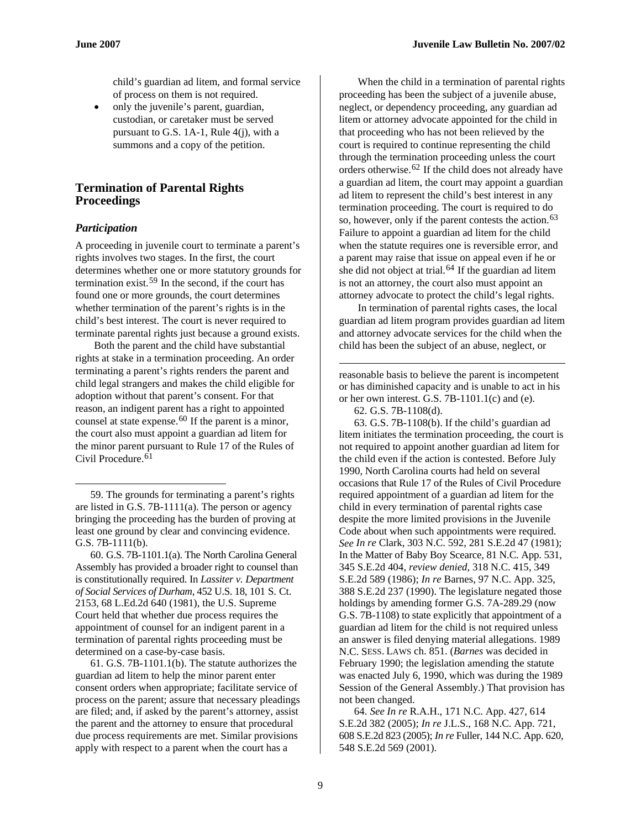child's guardian ad litem, and formal service of process on them is not required.

• only the juvenile's parent, guardian, custodian, or caretaker must be served pursuant to G.S. 1A-1, Rule 4(j), with a summons and a copy of the petition.

#### **Termination of Parental Rights Proceedings**

#### *Participation*

<span id="page-8-4"></span> $\overline{a}$ 

A proceeding in juvenile court to terminate a parent's rights involves two stages. In the first, the court determines whether one or more statutory grounds for termination exist.[59](#page-8-0) In the second, if the court has found one or more grounds, the court determines whether termination of the parent's rights is in the child's best interest. The court is never required to terminate parental rights just because a ground exists.

<span id="page-8-3"></span>Both the parent and the child have substantial rights at stake in a termination proceeding. An order terminating a parent's rights renders the parent and child legal strangers and makes the child eligible for adoption without that parent's consent. For that reason, an indigent parent has a right to appointed counsel at state expense.<sup>[60](#page-8-1)</sup> If the parent is a minor, the court also must appoint a guardian ad litem for the minor parent pursuant to Rule 17 of the Rules of Civil Procedure.<sup>[61](#page-8-2)</sup>

<span id="page-8-0"></span>59. The grounds for terminating a parent's rights are listed in G.S. 7B-1111(a). The person or agency bringing the proceeding has the burden of proving at least one ground by clear and convincing evidence. G.S. 7B-1111(b).

<span id="page-8-1"></span>60. G.S. 7B-1101.1(a). The North Carolina General Assembly has provided a broader right to counsel than is constitutionally required. In *Lassiter v. Department of Social Services of Durham*, 452 U.S. 18, 101 S. Ct. 2153, 68 L.Ed.2d 640 (1981), the U.S. Supreme Court held that whether due process requires the appointment of counsel for an indigent parent in a termination of parental rights proceeding must be determined on a case-by-case basis.

<span id="page-8-5"></span><span id="page-8-2"></span>61. G.S. 7B-1101.1(b). The statute authorizes the guardian ad litem to help the minor parent enter consent orders when appropriate; facilitate service of process on the parent; assure that necessary pleadings are filed; and, if asked by the parent's attorney, assist the parent and the attorney to ensure that procedural due process requirements are met. Similar provisions apply with respect to a parent when the court has a

When the child in a termination of parental rights proceeding has been the subject of a juvenile abuse, neglect, or dependency proceeding, any guardian ad litem or attorney advocate appointed for the child in that proceeding who has not been relieved by the court is required to continue representing the child through the termination proceeding unless the court orders otherwise.[62](#page-8-3) If the child does not already have a guardian ad litem, the court may appoint a guardian ad litem to represent the child's best interest in any termination proceeding. The court is required to do so, however, only if the parent contests the action.<sup>[63](#page-8-4)</sup> Failure to appoint a guardian ad litem for the child when the statute requires one is reversible error, and a parent may raise that issue on appeal even if he or she did not object at trial.<sup>[64](#page-8-5)</sup> If the guardian ad litem is not an attorney, the court also must appoint an attorney advocate to protect the child's legal rights.

In termination of parental rights cases, the local guardian ad litem program provides guardian ad litem and attorney advocate services for the child when the child has been the subject of an abuse, neglect, or

reasonable basis to believe the parent is incompetent or has diminished capacity and is unable to act in his or her own interest. G.S.  $7B-1101.1(c)$  and (e).

62. G.S. 7B-1108(d).

-

63. G.S. 7B-1108(b). If the child's guardian ad litem initiates the termination proceeding, the court is not required to appoint another guardian ad litem for the child even if the action is contested. Before July 1990, North Carolina courts had held on several occasions that Rule 17 of the Rules of Civil Procedure required appointment of a guardian ad litem for the child in every termination of parental rights case despite the more limited provisions in the Juvenile Code about when such appointments were required. *See In re* Clark, 303 N.C. 592, 281 S.E.2d 47 (1981); In the Matter of Baby Boy Scearce, 81 N.C. App. 531, 345 S.E.2d 404, *review denied,* 318 N.C. 415, 349 S.E.2d 589 (1986); *In re* Barnes, 97 N.C. App. 325, 388 S.E.2d 237 (1990). The legislature negated those holdings by amending former G.S. 7A-289.29 (now G.S. 7B-1108) to state explicitly that appointment of a guardian ad litem for the child is not required unless an answer is filed denying material allegations. 1989 N.C. SESS. LAWS ch. 851. (*Barnes* was decided in February 1990; the legislation amending the statute was enacted July 6, 1990, which was during the 1989 Session of the General Assembly.) That provision has not been changed.

64. *See In re* R.A.H., 171 N.C. App. 427, 614 S.E.2d 382 (2005); *In re* J.L.S., 168 N.C. App. 721, 608 S.E.2d 823 (2005); *In re* Fuller, 144 N.C. App. 620, 548 S.E.2d 569 (2001).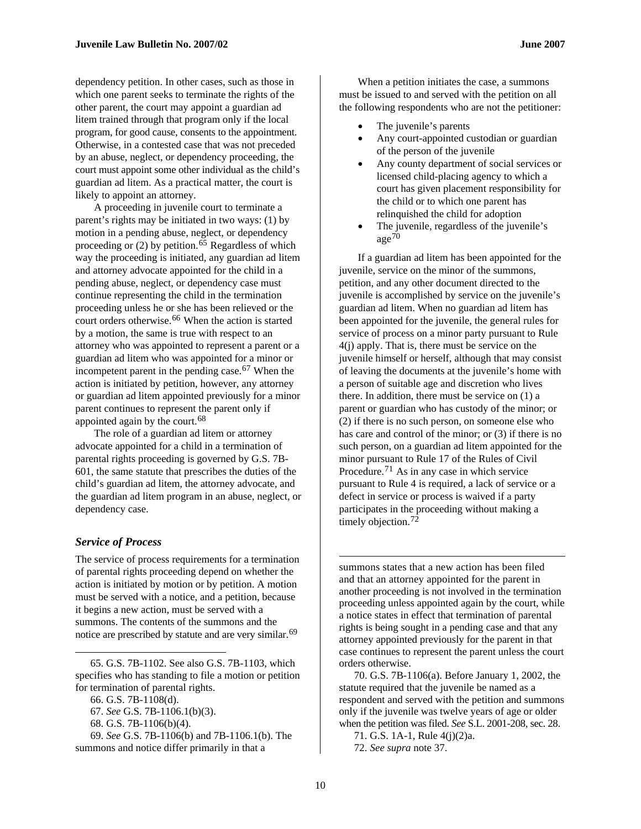dependency petition. In other cases, such as those in which one parent seeks to terminate the rights of the other parent, the court may appoint a guardian ad litem trained through that program only if the local program, for good cause, consents to the appointment. Otherwise, in a contested case that was not preceded by an abuse, neglect, or dependency proceeding, the court must appoint some other individual as the child's guardian ad litem. As a practical matter, the court is likely to appoint an attorney.

A proceeding in juvenile court to terminate a parent's rights may be initiated in two ways: (1) by motion in a pending abuse, neglect, or dependency proceeding or  $(2)$  by petition.<sup>[65](#page-9-0)</sup> Regardless of which way the proceeding is initiated, any guardian ad litem and attorney advocate appointed for the child in a pending abuse, neglect, or dependency case must continue representing the child in the termination proceeding unless he or she has been relieved or the court orders otherwise.<sup>[66](#page-9-1)</sup> When the action is started by a motion, the same is true with respect to an attorney who was appointed to represent a parent or a guardian ad litem who was appointed for a minor or incompetent parent in the pending case.[67](#page-9-2) When the action is initiated by petition, however, any attorney or guardian ad litem appointed previously for a minor parent continues to represent the parent only if appointed again by the court.[68](#page-9-3)

The role of a guardian ad litem or attorney advocate appointed for a child in a termination of parental rights proceeding is governed by G.S. 7B-601, the same statute that prescribes the duties of the child's guardian ad litem, the attorney advocate, and the guardian ad litem program in an abuse, neglect, or dependency case.

#### *Service of Process*

 $\overline{a}$ 

The service of process requirements for a termination of parental rights proceeding depend on whether the action is initiated by motion or by petition. A motion must be served with a notice, and a petition, because it begins a new action, must be served with a summons. The contents of the summons and the notice are prescribed by statute and are very similar.[69](#page-9-4)

When a petition initiates the case, a summons must be issued to and served with the petition on all the following respondents who are not the petitioner:

- The juvenile's parents
- Any court-appointed custodian or guardian of the person of the juvenile
- Any county department of social services or licensed child-placing agency to which a court has given placement responsibility for the child or to which one parent has relinquished the child for adoption
- The juvenile, regardless of the juvenile's  $a\text{ge}^{70}$  $a\text{ge}^{70}$  $a\text{ge}^{70}$

If a guardian ad litem has been appointed for the juvenile, service on the minor of the summons, petition, and any other document directed to the juvenile is accomplished by service on the juvenile's guardian ad litem. When no guardian ad litem has been appointed for the juvenile, the general rules for service of process on a minor party pursuant to Rule 4(j) apply. That is, there must be service on the juvenile himself or herself, although that may consist of leaving the documents at the juvenile's home with a person of suitable age and discretion who lives there. In addition, there must be service on (1) a parent or guardian who has custody of the minor; or (2) if there is no such person, on someone else who has care and control of the minor; or (3) if there is no such person, on a guardian ad litem appointed for the minor pursuant to Rule 17 of the Rules of Civil Procedure.[71](#page-9-4) As in any case in which service pursuant to Rule 4 is required, a lack of service or a defect in service or process is waived if a party participates in the proceeding without making a timely objection.<sup>[72](#page-9-6)</sup>

summons states that a new action has been filed and that an attorney appointed for the parent in another proceeding is not involved in the termination proceeding unless appointed again by the court, while a notice states in effect that termination of parental rights is being sought in a pending case and that any attorney appointed previously for the parent in that case continues to represent the parent unless the court orders otherwise.

70. G.S. 7B-1106(a). Before January 1, 2002, the statute required that the juvenile be named as a respondent and served with the petition and summons only if the juvenile was twelve years of age or older when the petition was filed. *See* S.L. 2001-208, sec. 28.

71. G.S. 1A-1, Rule 4(j)(2)a.

72. *See supra* note 37.

<span id="page-9-5"></span><span id="page-9-1"></span><span id="page-9-0"></span><sup>65.</sup> G.S. 7B-1102. See also G.S. 7B-1103, which specifies who has standing to file a motion or petition for termination of parental rights.

<sup>66.</sup> G.S. 7B-1108(d).

<sup>67.</sup> *See* G.S. 7B-1106.1(b)(3).

<sup>68.</sup> G.S. 7B-1106(b)(4).

<span id="page-9-6"></span><span id="page-9-4"></span><span id="page-9-3"></span><span id="page-9-2"></span><sup>69.</sup> *See* G.S. 7B-1106(b) and 7B-1106.1(b). The summons and notice differ primarily in that a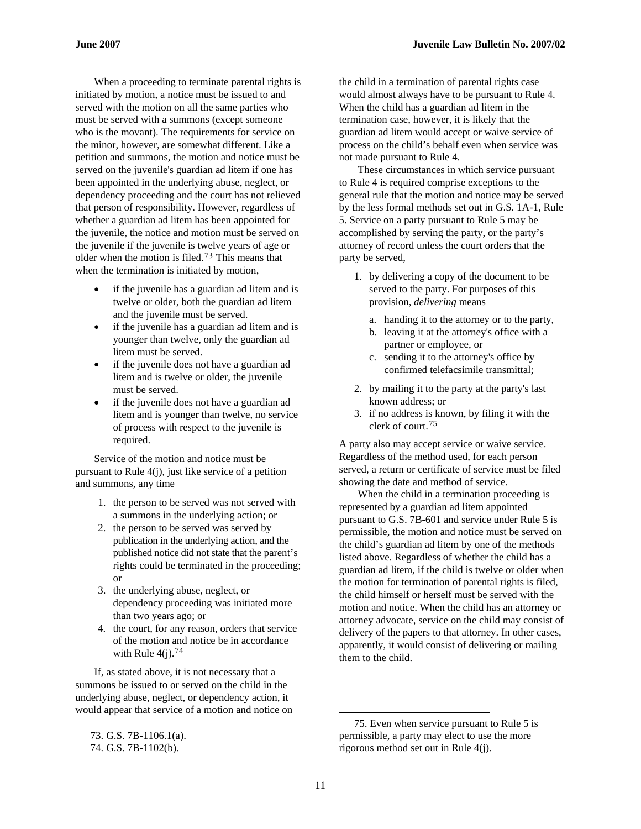When a proceeding to terminate parental rights is initiated by motion, a notice must be issued to and served with the motion on all the same parties who must be served with a summons (except someone who is the movant). The requirements for service on the minor, however, are somewhat different. Like a petition and summons, the motion and notice must be served on the juvenile's guardian ad litem if one has been appointed in the underlying abuse, neglect, or dependency proceeding and the court has not relieved that person of responsibility. However, regardless of whether a guardian ad litem has been appointed for the juvenile, the notice and motion must be served on the juvenile if the juvenile is twelve years of age or older when the motion is filed.[73](#page-10-0) This means that when the termination is initiated by motion,

- if the juvenile has a guardian ad litem and is twelve or older, both the guardian ad litem and the juvenile must be served.
- if the juvenile has a guardian ad litem and is younger than twelve, only the guardian ad litem must be served.
- if the juvenile does not have a guardian ad litem and is twelve or older, the juvenile must be served.
- if the juvenile does not have a guardian ad litem and is younger than twelve, no service of process with respect to the juvenile is required.

Service of the motion and notice must be pursuant to Rule 4(j), just like service of a petition and summons, any time

- 1. the person to be served was not served with a summons in the underlying action; or
- 2. the person to be served was served by publication in the underlying action, and the published notice did not state that the parent's rights could be terminated in the proceeding; or
- 3. the underlying abuse, neglect, or dependency proceeding was initiated more than two years ago; or
- 4. the court, for any reason, orders that service of the motion and notice be in accordance with Rule  $4(i)$ .<sup>[74](#page-10-1)</sup>

If, as stated above, it is not necessary that a summons be issued to or served on the child in the underlying abuse, neglect, or dependency action, it would appear that service of a motion and notice on

<span id="page-10-2"></span><span id="page-10-1"></span><span id="page-10-0"></span> $\overline{a}$ 

the child in a termination of parental rights case would almost always have to be pursuant to Rule 4. When the child has a guardian ad litem in the termination case, however, it is likely that the guardian ad litem would accept or waive service of process on the child's behalf even when service was not made pursuant to Rule 4.

These circumstances in which service pursuant to Rule 4 is required comprise exceptions to the general rule that the motion and notice may be served by the less formal methods set out in G.S. 1A-1, Rule 5. Service on a party pursuant to Rule 5 may be accomplished by serving the party, or the party's attorney of record unless the court orders that the party be served,

- 1. by delivering a copy of the document to be served to the party. For purposes of this provision, *delivering* means
	- a. handing it to the attorney or to the party,
	- b. leaving it at the attorney's office with a partner or employee, or
	- c. sending it to the attorney's office by confirmed telefacsimile transmittal;
- 2. by mailing it to the party at the party's last known address; or
- 3. if no address is known, by filing it with the clerk of court.[75](#page-10-2)

A party also may accept service or waive service. Regardless of the method used, for each person served, a return or certificate of service must be filed showing the date and method of service.

When the child in a termination proceeding is represented by a guardian ad litem appointed pursuant to G.S. 7B-601 and service under Rule 5 is permissible, the motion and notice must be served on the child's guardian ad litem by one of the methods listed above. Regardless of whether the child has a guardian ad litem, if the child is twelve or older when the motion for termination of parental rights is filed, the child himself or herself must be served with the motion and notice. When the child has an attorney or attorney advocate, service on the child may consist of delivery of the papers to that attorney. In other cases, apparently, it would consist of delivering or mailing them to the child.

1

<sup>73.</sup> G.S. 7B-1106.1(a).

<sup>74.</sup> G.S. 7B-1102(b).

<sup>75.</sup> Even when service pursuant to Rule 5 is permissible, a party may elect to use the more rigorous method set out in Rule 4(j).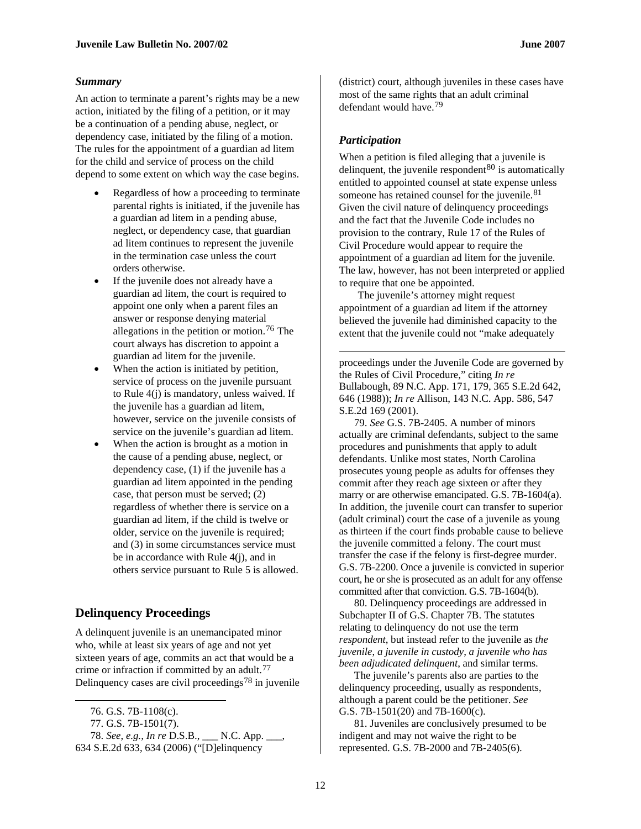#### *Summary*

An action to terminate a parent's rights may be a new action, initiated by the filing of a petition, or it may be a continuation of a pending abuse, neglect, or dependency case, initiated by the filing of a motion. The rules for the appointment of a guardian ad litem for the child and service of process on the child depend to some extent on which way the case begins.

- Regardless of how a proceeding to terminate parental rights is initiated, if the juvenile has a guardian ad litem in a pending abuse, neglect, or dependency case, that guardian ad litem continues to represent the juvenile in the termination case unless the court orders otherwise.
- If the juvenile does not already have a guardian ad litem, the court is required to appoint one only when a parent files an answer or response denying material allegations in the petition or motion.[76](#page-11-0) The court always has discretion to appoint a guardian ad litem for the juvenile.
- When the action is initiated by petition, service of process on the juvenile pursuant to Rule 4(j) is mandatory, unless waived. If the juvenile has a guardian ad litem, however, service on the juvenile consists of service on the juvenile's guardian ad litem.
- <span id="page-11-3"></span>When the action is brought as a motion in the cause of a pending abuse, neglect, or dependency case, (1) if the juvenile has a guardian ad litem appointed in the pending case, that person must be served; (2) regardless of whether there is service on a guardian ad litem, if the child is twelve or older, service on the juvenile is required; and (3) in some circumstances service must be in accordance with Rule 4(j), and in others service pursuant to Rule 5 is allowed.

#### <span id="page-11-4"></span>**Delinquency Proceedings**

A delinquent juvenile is an unemancipated minor who, while at least six years of age and not yet sixteen years of age, commits an act that would be a crime or infraction if committed by an adult.[77](#page-11-1) Delinquency cases are civil proceedings<sup>[78](#page-11-2)</sup> in juvenile

<span id="page-11-0"></span>-

(district) court, although juveniles in these cases have most of the same rights that an adult criminal defendant would have.[79](#page-11-3)

#### *Participation*

 $\overline{a}$ 

When a petition is filed alleging that a juvenile is delinquent, the juvenile respondent  $80$  is automatically entitled to appointed counsel at state expense unless someone has retained counsel for the juvenile.<sup>[81](#page-11-1)</sup> Given the civil nature of delinquency proceedings and the fact that the Juvenile Code includes no provision to the contrary, Rule 17 of the Rules of Civil Procedure would appear to require the appointment of a guardian ad litem for the juvenile. The law, however, has not been interpreted or applied to require that one be appointed.

The juvenile's attorney might request appointment of a guardian ad litem if the attorney believed the juvenile had diminished capacity to the extent that the juvenile could not "make adequately

proceedings under the Juvenile Code are governed by the Rules of Civil Procedure," citing *[In re](http://web2.westlaw.com/find/default.wl?tf=-1&rs=WLW7.02&referencepositiontype=S&serialnum=1988037117&fn=_top&sv=Split&tc=-1&findtype=Y&referenceposition=646&db=711&vr=2.0&rp=%2ffind%2fdefault.wl&mt=NorthCarolina)* [Bullabough, 89 N.C. App. 171, 179, 365 S.E.2d 642,](http://web2.westlaw.com/find/default.wl?tf=-1&rs=WLW7.02&referencepositiontype=S&serialnum=1988037117&fn=_top&sv=Split&tc=-1&findtype=Y&referenceposition=646&db=711&vr=2.0&rp=%2ffind%2fdefault.wl&mt=NorthCarolina)  [646 \(1988\)](http://web2.westlaw.com/find/default.wl?tf=-1&rs=WLW7.02&referencepositiontype=S&serialnum=1988037117&fn=_top&sv=Split&tc=-1&findtype=Y&referenceposition=646&db=711&vr=2.0&rp=%2ffind%2fdefault.wl&mt=NorthCarolina)); *In re* Allison, 143 N.C. App. 586, 547 S.E.2d 169 (2001).

79. *See* G.S. 7B-2405. A number of minors actually are criminal defendants, subject to the same procedures and punishments that apply to adult defendants. Unlike most states, North Carolina prosecutes young people as adults for offenses they commit after they reach age sixteen or after they marry or are otherwise emancipated. G.S. 7B-1604(a). In addition, the juvenile court can transfer to superior (adult criminal) court the case of a juvenile as young as thirteen if the court finds probable cause to believe the juvenile committed a felony. The court must transfer the case if the felony is first-degree murder. G.S. 7B-2200. Once a juvenile is convicted in superior court, he or she is prosecuted as an adult for any offense committed after that conviction. G.S. 7B-1604(b).

80. Delinquency proceedings are addressed in Subchapter II of G.S. Chapter 7B. The statutes relating to delinquency do not use the term *respondent*, but instead refer to the juvenile as *the juvenile*, *a juvenile in custody*, *a juvenile who has been adjudicated delinquent*, and similar terms.

The juvenile's parents also are parties to the delinquency proceeding, usually as respondents, although a parent could be the petitioner. *See* G.S. 7B-1501(20) and 7B-1600(c).

81. Juveniles are conclusively presumed to be indigent and may not waive the right to be represented. G.S. 7B-2000 and 7B-2405(6).

<sup>76.</sup> G.S. 7B-1108(c).

<sup>77.</sup> G.S. 7B-1501(7).

<span id="page-11-2"></span><span id="page-11-1"></span><sup>78.</sup> *See*, *e.g., In re* D.S.B., \_\_\_ N.C. App. \_\_\_, 634 S.E.2d 633, 634 (2006) ("[D]elinquency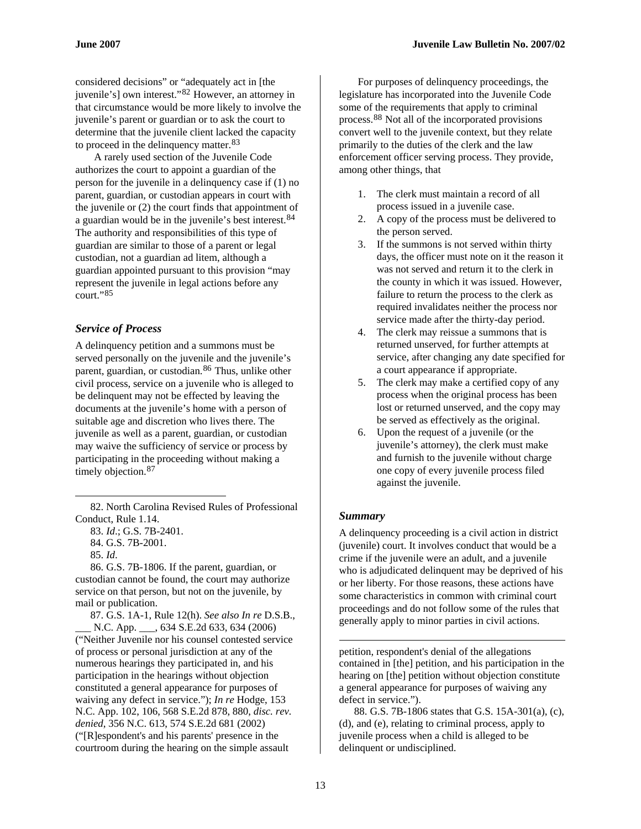considered decisions" or "adequately act in [the juvenile's] own interest."[82](#page-12-0) However, an attorney in that circumstance would be more likely to involve the juvenile's parent or guardian or to ask the court to determine that the juvenile client lacked the capacity to proceed in the delinquency matter.[83](#page-12-1)

A rarely used section of the Juvenile Code authorizes the court to appoint a guardian of the person for the juvenile in a delinquency case if (1) no parent, guardian, or custodian appears in court with the juvenile or (2) the court finds that appointment of a guardian would be in the juvenile's best interest.[84](#page-12-2) The authority and responsibilities of this type of guardian are similar to those of a parent or legal custodian, not a guardian ad litem, although a guardian appointed pursuant to this provision "may represent the juvenile in legal actions before any court."[85](#page-12-3)

#### *Service of Process*

A delinquency petition and a summons must be served personally on the juvenile and the juvenile's parent, guardian, or custodian.<sup>[86](#page-12-4)</sup> Thus, unlike other civil process, service on a juvenile who is alleged to be delinquent may not be effected by leaving the documents at the juvenile's home with a person of suitable age and discretion who lives there. The juvenile as well as a parent, guardian, or custodian may waive the sufficiency of service or process by participating in the proceeding without making a timely objection.<sup>[87](#page-12-5)</sup>

 $\overline{a}$ 

<span id="page-12-4"></span><span id="page-12-3"></span><span id="page-12-2"></span>86. G.S. 7B-1806. If the parent, guardian, or custodian cannot be found, the court may authorize service on that person, but not on the juvenile, by mail or publication.

<span id="page-12-6"></span><span id="page-12-5"></span>87. G.S. 1A-1, Rule 12(h). *See also In re* D.S.B., N.C. App. \_\_\_, 634 S.E.2d 633, 634 (2006) ("Neither Juvenile nor his counsel contested service of process or personal jurisdiction at any of the numerous hearings they participated in, and his participation in the hearings without objection constituted a general appearance for purposes of waiving any defect in service."); *In re* Hodge, 153 N.C. App. 102, 106, 568 S.E.2d 878, 880, *disc. rev. denied*, 356 N.C. 613, 574 S.E.2d 681 (2002) ("[R]espondent's and his parents' presence in the courtroom during the hearing on the simple assault

For purposes of delinquency proceedings, the legislature has incorporated into the Juvenile Code some of the requirements that apply to criminal process.[88](#page-12-6) Not all of the incorporated provisions convert well to the juvenile context, but they relate primarily to the duties of the clerk and the law enforcement officer serving process. They provide, among other things, that

- 1. The clerk must maintain a record of all process issued in a juvenile case.
- 2. A copy of the process must be delivered to the person served.
- 3. If the summons is not served within thirty days, the officer must note on it the reason it was not served and return it to the clerk in the county in which it was issued. However, failure to return the process to the clerk as required invalidates neither the process nor service made after the thirty-day period.
- 4. The clerk may reissue a summons that is returned unserved, for further attempts at service, after changing any date specified for a court appearance if appropriate.
- 5. The clerk may make a certified copy of any process when the original process has been lost or returned unserved, and the copy may be served as effectively as the original.
- 6. Upon the request of a juvenile (or the juvenile's attorney), the clerk must make and furnish to the juvenile without charge one copy of every juvenile process filed against the juvenile.

#### *Summary*

1

A delinquency proceeding is a civil action in district (juvenile) court. It involves conduct that would be a crime if the juvenile were an adult, and a juvenile who is adjudicated delinquent may be deprived of his or her liberty. For those reasons, these actions have some characteristics in common with criminal court proceedings and do not follow some of the rules that generally apply to minor parties in civil actions.

petition, respondent's denial of the allegations contained in [the] petition, and his participation in the hearing on [the] petition without objection constitute a general appearance for purposes of waiving any defect in service.").

88. G.S. 7B-1806 states that G.S. 15A-301(a), (c), (d), and (e), relating to criminal process, apply to juvenile process when a child is alleged to be delinquent or undisciplined.

<span id="page-12-1"></span><span id="page-12-0"></span><sup>82.</sup> North Carolina Revised Rules of Professional Conduct, Rule 1.14.

<sup>83.</sup> *Id*.; G.S. 7B-2401.

<sup>84.</sup> G.S. 7B-2001.

<sup>85.</sup> *Id*.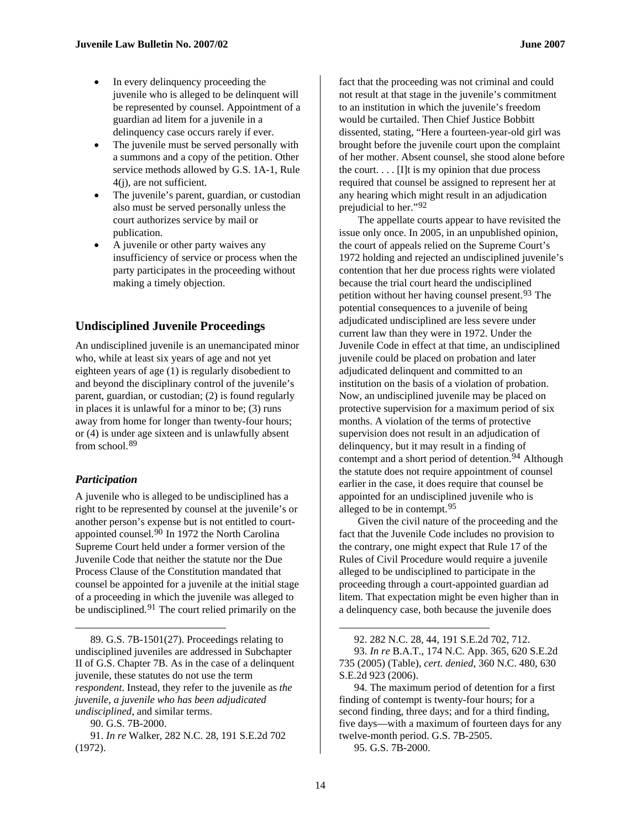- In every delinquency proceeding the juvenile who is alleged to be delinquent will be represented by counsel. Appointment of a guardian ad litem for a juvenile in a delinquency case occurs rarely if ever.
- The juvenile must be served personally with a summons and a copy of the petition. Other service methods allowed by G.S. 1A-1, Rule 4(j), are not sufficient.
- The juvenile's parent, guardian, or custodian also must be served personally unless the court authorizes service by mail or publication.
- A juvenile or other party waives any insufficiency of service or process when the party participates in the proceeding without making a timely objection.

#### **Undisciplined Juvenile Proceedings**

An undisciplined juvenile is an unemancipated minor who, while at least six years of age and not yet eighteen years of age (1) is regularly disobedient to and beyond the disciplinary control of the juvenile's parent, guardian, or custodian; (2) is found regularly in places it is unlawful for a minor to be; (3) runs away from home for longer than twenty-four hours; or (4) is under age sixteen and is unlawfully absent from school.[89](#page-13-0)

#### *Participation*

 $\overline{a}$ 

A juvenile who is alleged to be undisciplined has a right to be represented by counsel at the juvenile's or another person's expense but is not entitled to courtappointed counsel.[90](#page-13-1) In 1972 the North Carolina Supreme Court held under a former version of the Juvenile Code that neither the statute nor the Due Process Clause of the Constitution mandated that counsel be appointed for a juvenile at the initial stage of a proceeding in which the juvenile was alleged to be undisciplined.<sup>[91](#page-13-2)</sup> The court relied primarily on the

fact that the proceeding was not criminal and could not result at that stage in the juvenile's commitment to an institution in which the juvenile's freedom would be curtailed. Then Chief Justice Bobbitt dissented, stating, "Here a fourteen-year-old girl was brought before the juvenile court upon the complaint of her mother. Absent counsel, she stood alone before the court.  $\ldots$  [I]t is my opinion that due process required that counsel be assigned to represent her at any hearing which might result in an adjudication prejudicial to her."[92](#page-13-0)

The appellate courts appear to have revisited the issue only once. In 2005, in an unpublished opinion, the court of appeals relied on the Supreme Court's 1972 holding and rejected an undisciplined juvenile's contention that her due process rights were violated because the trial court heard the undisciplined petition without her having counsel present.<sup>[93](#page-13-3)</sup> The potential consequences to a juvenile of being adjudicated undisciplined are less severe under current law than they were in 1972. Under the Juvenile Code in effect at that time, an undisciplined juvenile could be placed on probation and later adjudicated delinquent and committed to an institution on the basis of a violation of probation. Now, an undisciplined juvenile may be placed on protective supervision for a maximum period of six months. A violation of the terms of protective supervision does not result in an adjudication of delinquency, but it may result in a finding of contempt and a short period of detention.<sup>[94](#page-13-4)</sup> Although the statute does not require appointment of counsel earlier in the case, it does require that counsel be appointed for an undisciplined juvenile who is alleged to be in contempt.[95](#page-13-5)

Given the civil nature of the proceeding and the fact that the Juvenile Code includes no provision to the contrary, one might expect that Rule 17 of the Rules of Civil Procedure would require a juvenile alleged to be undisciplined to participate in the proceeding through a court-appointed guardian ad litem. That expectation might be even higher than in a delinquency case, both because the juvenile does

<span id="page-13-4"></span><span id="page-13-3"></span><span id="page-13-0"></span><sup>89.</sup> G.S. 7B-1501(27). Proceedings relating to undisciplined juveniles are addressed in Subchapter II of G.S. Chapter 7B. As in the case of a delinquent juvenile, these statutes do not use the term *respondent*. Instead, they refer to the juvenile as *the juvenile*, *a juvenile who has been adjudicated undisciplined*, and similar terms.

<sup>90.</sup> G.S. 7B-2000.

<span id="page-13-5"></span><span id="page-13-2"></span><span id="page-13-1"></span><sup>91.</sup> *In re* Walker, 282 N.C. 28, 191 S.E.2d 702 (1972).

<sup>92. 282</sup> N.C. 28, 44, 191 S.E.2d 702, 712. 93. *In re* B.A.T., 174 N.C. App. 365, 620 S.E.2d 735 (2005) (Table), *cert. denied*, 360 N.C. 480, 630 S.E.2d 923 (2006).

<sup>94.</sup> The maximum period of detention for a first finding of contempt is twenty-four hours; for a second finding, three days; and for a third finding, five days—with a maximum of fourteen days for any twelve-month period. G.S. 7B-2505.

<sup>95.</sup> G.S. 7B-2000.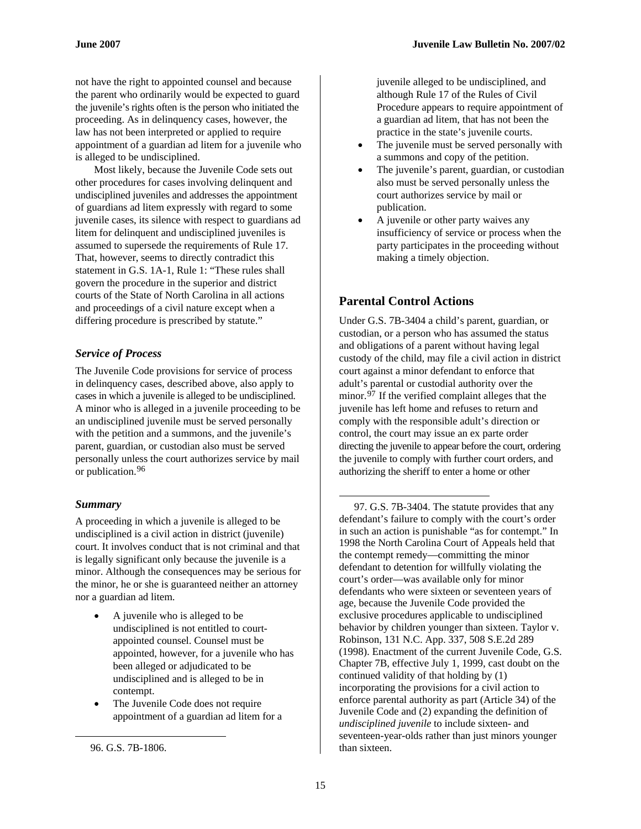not have the right to appointed counsel and because the parent who ordinarily would be expected to guard the juvenile's rights often is the person who initiated the proceeding. As in delinquency cases, however, the law has not been interpreted or applied to require appointment of a guardian ad litem for a juvenile who is alleged to be undisciplined.

Most likely, because the Juvenile Code sets out other procedures for cases involving delinquent and undisciplined juveniles and addresses the appointment of guardians ad litem expressly with regard to some juvenile cases, its silence with respect to guardians ad litem for delinquent and undisciplined juveniles is assumed to supersede the requirements of Rule 17. That, however, seems to directly contradict this statement in G.S. 1A-1, Rule 1: "These rules shall govern the procedure in the superior and district courts of the State of North Carolina in all actions and proceedings of a civil nature except when a differing procedure is prescribed by statute."

#### *Service of Process*

The Juvenile Code provisions for service of process in delinquency cases, described above, also apply to cases in which a juvenile is alleged to be undisciplined. A minor who is alleged in a juvenile proceeding to be an undisciplined juvenile must be served personally with the petition and a summons, and the juvenile's parent, guardian, or custodian also must be served personally unless the court authorizes service by mail or publication.[96](#page-14-0)

#### <span id="page-14-1"></span>*Summary*

A proceeding in which a juvenile is alleged to be undisciplined is a civil action in district (juvenile) court. It involves conduct that is not criminal and that is legally significant only because the juvenile is a minor. Although the consequences may be serious for the minor, he or she is guaranteed neither an attorney nor a guardian ad litem.

- A juvenile who is alleged to be undisciplined is not entitled to courtappointed counsel. Counsel must be appointed, however, for a juvenile who has been alleged or adjudicated to be undisciplined and is alleged to be in contempt.
- The Juvenile Code does not require appointment of a guardian ad litem for a

<span id="page-14-0"></span> $\overline{a}$ 

juvenile alleged to be undisciplined, and although Rule 17 of the Rules of Civil Procedure appears to require appointment of a guardian ad litem, that has not been the practice in the state's juvenile courts.

- The juvenile must be served personally with a summons and copy of the petition.
- The juvenile's parent, guardian, or custodian also must be served personally unless the court authorizes service by mail or publication.
- A juvenile or other party waives any insufficiency of service or process when the party participates in the proceeding without making a timely objection.

#### **Parental Control Actions**

Under G.S. 7B-3404 a child's parent, guardian, or custodian, or a person who has assumed the status and obligations of a parent without having legal custody of the child, may file a civil action in district court against a minor defendant to enforce that adult's parental or custodial authority over the minor.<sup>[97](#page-14-1)</sup> If the verified complaint alleges that the juvenile has left home and refuses to return and comply with the responsible adult's direction or control, the court may issue an ex parte order directing the juvenile to appear before the court, ordering the juvenile to comply with further court orders, and authorizing the sheriff to enter a home or other

97. G.S. 7B-3404. The statute provides that any defendant's failure to comply with the court's order in such an action is punishable "as for contempt." In 1998 the North Carolina Court of Appeals held that the contempt remedy—committing the minor defendant to detention for willfully violating the court's order—was available only for minor defendants who were sixteen or seventeen years of age, because the Juvenile Code provided the exclusive procedures applicable to undisciplined behavior by children younger than sixteen. Taylor v. Robinson, 131 N.C. App. 337, 508 S.E.2d 289 (1998). Enactment of the current Juvenile Code, G.S. Chapter 7B, effective July 1, 1999, cast doubt on the continued validity of that holding by (1) incorporating the provisions for a civil action to enforce parental authority as part (Article 34) of the Juvenile Code and (2) expanding the definition of *undisciplined juvenile* to include sixteen- and seventeen-year-olds rather than just minors younger than sixteen.

1

<sup>96.</sup> G.S. 7B-1806.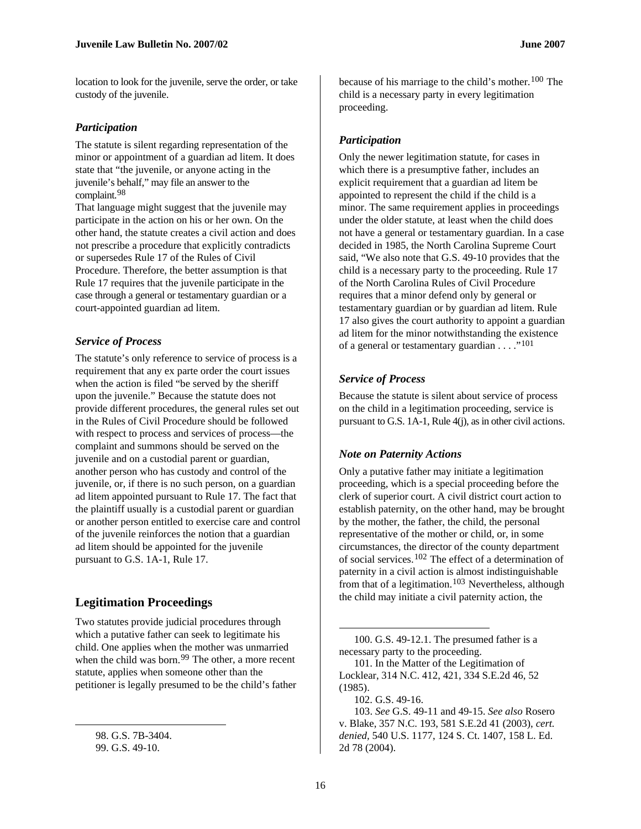location to look for the juvenile, serve the order, or take custody of the juvenile.

#### *Participation*

The statute is silent regarding representation of the minor or appointment of a guardian ad litem. It does state that "the juvenile, or anyone acting in the juvenile's behalf," may file an answer to the complaint.[98](#page-15-0)

That language might suggest that the juvenile may participate in the action on his or her own. On the other hand, the statute creates a civil action and does not prescribe a procedure that explicitly contradicts or supersedes Rule 17 of the Rules of Civil Procedure. Therefore, the better assumption is that Rule 17 requires that the juvenile participate in the case through a general or testamentary guardian or a court-appointed guardian ad litem.

#### *Service of Process*

The statute's only reference to service of process is a requirement that any ex parte order the court issues when the action is filed "be served by the sheriff upon the juvenile." Because the statute does not provide different procedures, the general rules set out in the Rules of Civil Procedure should be followed with respect to process and services of process—the complaint and summons should be served on the juvenile and on a custodial parent or guardian, another person who has custody and control of the juvenile, or, if there is no such person, on a guardian ad litem appointed pursuant to Rule 17. The fact that the plaintiff usually is a custodial parent or guardian or another person entitled to exercise care and control of the juvenile reinforces the notion that a guardian ad litem should be appointed for the juvenile pursuant to G.S. 1A-1, Rule 17.

#### **Legitimation Proceedings**

<span id="page-15-3"></span><span id="page-15-2"></span>Two statutes provide judicial procedures through which a putative father can seek to legitimate his child. One applies when the mother was unmarried when the child was born.<sup>[99](#page-15-1)</sup> The other, a more recent statute, applies when someone other than the petitioner is legally presumed to be the child's father

<span id="page-15-4"></span><span id="page-15-1"></span><span id="page-15-0"></span>-

because of his marriage to the child's mother.<sup>[100](#page-15-2)</sup> The child is a necessary party in every legitimation proceeding.

#### *Participation*

Only the newer legitimation statute, for cases in which there is a presumptive father, includes an explicit requirement that a guardian ad litem be appointed to represent the child if the child is a minor. The same requirement applies in proceedings under the older statute, at least when the child does not have a general or testamentary guardian. In a case decided in 1985, the North Carolina Supreme Court said, "We also note that [G.S. 49-10](http://web2.westlaw.com/find/default.wl?tf=-1&rs=WLW7.02&fn=_top&sv=Split&tc=-1&findtype=L&docname=NCSTS49-10&db=1000037&vr=2.0&rp=%2ffind%2fdefault.wl&mt=NorthCarolina) provides that the child is a necessary party to the proceeding. [Rule 17](http://web2.westlaw.com/find/default.wl?tf=-1&rs=WLW7.02&fn=_top&sv=Split&tc=-1&findtype=L&docname=NCSTRCPS1A-1R17&db=1000037&vr=2.0&rp=%2ffind%2fdefault.wl&mt=NorthCarolina)  [of the North Carolina Rules of Civil Procedure](http://web2.westlaw.com/find/default.wl?tf=-1&rs=WLW7.02&fn=_top&sv=Split&tc=-1&findtype=L&docname=NCSTRCPS1A-1R17&db=1000037&vr=2.0&rp=%2ffind%2fdefault.wl&mt=NorthCarolina) requires that a minor defend only by general or testamentary guardian or by guardian ad litem. [Rule](http://web2.westlaw.com/find/default.wl?tf=-1&rs=WLW7.02&fn=_top&sv=Split&tc=-1&findtype=L&docname=NCSTRCPS1A-1R17&db=1000037&vr=2.0&rp=%2ffind%2fdefault.wl&mt=NorthCarolina)  [17](http://web2.westlaw.com/find/default.wl?tf=-1&rs=WLW7.02&fn=_top&sv=Split&tc=-1&findtype=L&docname=NCSTRCPS1A-1R17&db=1000037&vr=2.0&rp=%2ffind%2fdefault.wl&mt=NorthCarolina) also gives the court authority to appoint a guardian ad litem for the minor notwithstanding the existence of a general or testamentary guardian  $\dots$  ."<sup>[101](#page-15-3)</sup>

#### *Service of Process*

Because the statute is silent about service of process on the child in a legitimation proceeding, service is pursuant to G.S. 1A-1, Rule 4(j), as in other civil actions.

#### *Note on Paternity Actions*

Only a putative father may initiate a legitimation proceeding, which is a special proceeding before the clerk of superior court. A civil district court action to establish paternity, on the other hand, may be brought by the mother, the father, the child, the personal representative of the mother or child, or, in some circumstances, the director of the county department of social services.[102](#page-15-4) The effect of a determination of paternity in a civil action is almost indistinguishable from that of a legitimation.<sup>[103](#page-15-0)</sup> Nevertheless, although the child may initiate a civil paternity action, the

100. G.S. 49-12.1. The presumed father is a necessary party to the proceeding.

101. In the Matter of the Legitimation of Locklear, 314 N.C. 412, 421, 334 S.E.2d 46, 52 (1985).

102. G.S. 49-16.

103. *See* G.S. 49-11 and 49-15. *See also* Rosero v. Blake, 357 N.C. 193, 581 S.E.2d 41 (2003), *cert. denied,* 540 U.S. 1177, 124 S. Ct. 1407, 158 L. Ed. 2d 78 (2004).

 <sup>98.</sup> G.S. 7B-3404. 99. G.S. 49-10.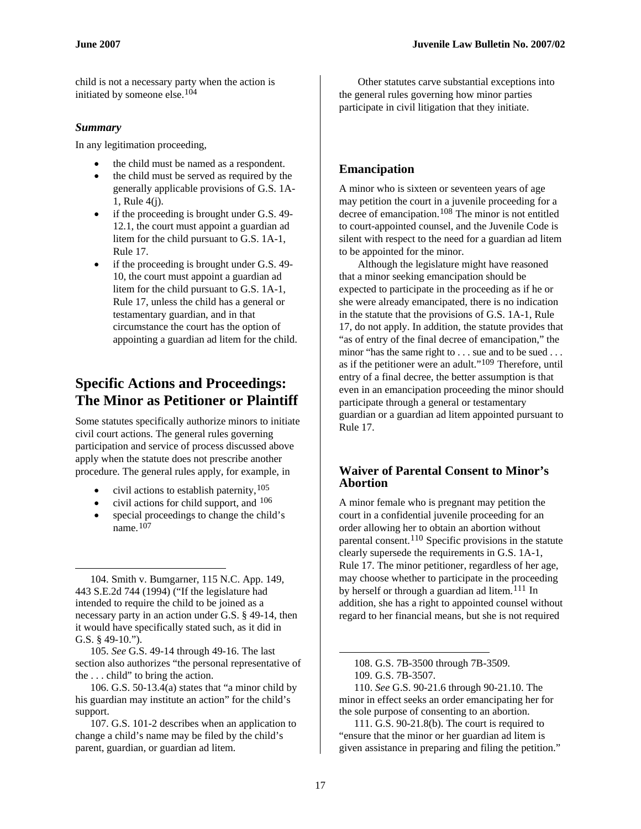child is not a necessary party when the action is initiated by someone else.[104](#page-16-0)

#### *Summary*

1

In any legitimation proceeding,

- the child must be named as a respondent.
- the child must be served as required by the generally applicable provisions of G.S. 1A-1, Rule 4(j).
- if the proceeding is brought under G.S. 49-12.1, the court must appoint a guardian ad litem for the child pursuant to G.S. 1A-1, Rule 17.
- if the proceeding is brought under G.S. 49-10, the court must appoint a guardian ad litem for the child pursuant to G.S. 1A-1, Rule 17, unless the child has a general or testamentary guardian, and in that circumstance the court has the option of appointing a guardian ad litem for the child.

# **Specific Actions and Proceedings: The Minor as Petitioner or Plaintiff**

Some statutes specifically authorize minors to initiate civil court actions. The general rules governing participation and service of process discussed above apply when the statute does not prescribe another procedure. The general rules apply, for example, in

- civil actions to establish paternity,  $105$
- civil actions for child support, and  $106$
- special proceedings to change the child's name.[107](#page-16-3)

Other statutes carve substantial exceptions into the general rules governing how minor parties participate in civil litigation that they initiate.

## **Emancipation**

A minor who is sixteen or seventeen years of age may petition the court in a juvenile proceeding for a decree of emancipation.[108](#page-16-4) The minor is not entitled to court-appointed counsel, and the Juvenile Code is silent with respect to the need for a guardian ad litem to be appointed for the minor.

Although the legislature might have reasoned that a minor seeking emancipation should be expected to participate in the proceeding as if he or she were already emancipated, there is no indication in the statute that the provisions of G.S. 1A-1, Rule 17, do not apply. In addition, the statute provides that "as of entry of the final decree of emancipation," the minor "has the same right to . . . sue and to be sued . . . as if the petitioner were an adult."[109](#page-16-5) Therefore, until entry of a final decree, the better assumption is that even in an emancipation proceeding the minor should participate through a general or testamentary guardian or a guardian ad litem appointed pursuant to Rule 17.

#### **Waiver of Parental Consent to Minor's Abortion**

A minor female who is pregnant may petition the court in a confidential juvenile proceeding for an order allowing her to obtain an abortion without parental consent.<sup>[110](#page-16-2)</sup> Specific provisions in the statute clearly supersede the requirements in G.S. 1A-1, Rule 17. The minor petitioner, regardless of her age, may choose whether to participate in the proceeding by herself or through a guardian ad litem.<sup>[111](#page-16-3)</sup> In addition, she has a right to appointed counsel without regard to her financial means, but she is not required

<span id="page-16-0"></span><sup>104.</sup> Smith v. Bumgarner, 115 N.C. App. 149, 443 S.E.2d 744 (1994) ("If the legislature had intended to require the child to be joined as a necessary party in an action under [G.S. § 49-14,](http://web2.westlaw.com/find/default.wl?tf=-1&rs=WLW7.04&fn=_top&sv=Split&tc=-1&findtype=L&docname=NCSTS49-14&db=1000037&vr=2.0&rp=%2ffind%2fdefault.wl&mt=NorthCarolina) then it would have specifically stated such, as it did in [G.S. § 49-10](http://web2.westlaw.com/find/default.wl?tf=-1&rs=WLW7.04&fn=_top&sv=Split&tc=-1&findtype=L&docname=NCSTS49-10&db=1000037&vr=2.0&rp=%2ffind%2fdefault.wl&mt=NorthCarolina).").

<span id="page-16-4"></span><span id="page-16-1"></span><sup>105.</sup> *See* G.S. 49-14 through 49-16. The last section also authorizes "the personal representative of the . . . child" to bring the action.

<span id="page-16-5"></span><span id="page-16-2"></span><sup>106.</sup> G.S. 50-13.4(a) states that "a minor child by his guardian may institute an action" for the child's support.

<span id="page-16-3"></span><sup>107.</sup> G.S. 101-2 describes when an application to change a child's name may be filed by the child's parent, guardian, or guardian ad litem.

<sup>108.</sup> G.S. 7B-3500 through 7B-3509.

<sup>109.</sup> G.S. 7B-3507.

<sup>110.</sup> *See* G.S. 90-21.6 through 90-21.10. The minor in effect seeks an order emancipating her for the sole purpose of consenting to an abortion.

<sup>111.</sup> G.S. 90-21.8(b). The court is required to "ensure that the minor or her guardian ad litem is given assistance in preparing and filing the petition."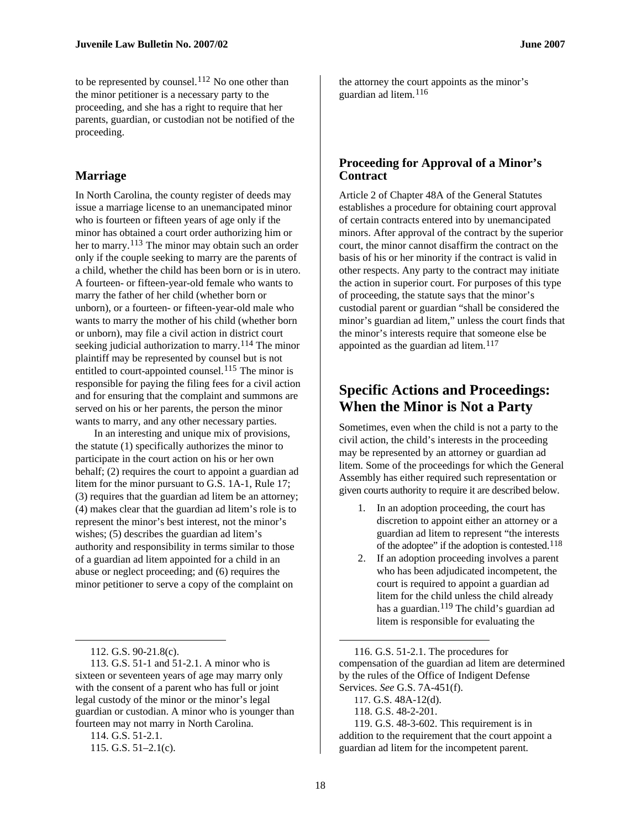to be represented by counsel.<sup>[112](#page-17-0)</sup> No one other than the minor petitioner is a necessary party to the proceeding, and she has a right to require that her parents, guardian, or custodian not be notified of the proceeding.

#### **Marriage**

In North Carolina, the county register of deeds may issue a marriage license to an unemancipated minor who is fourteen or fifteen years of age only if the minor has obtained a court order authorizing him or her to marry.<sup>113</sup> The minor may obtain such an order only if the couple seeking to marry are the parents of a child, whether the child has been born or is in utero. A fourteen- or fifteen-year-old female who wants to marry the father of her child (whether born or unborn), or a fourteen- or fifteen-year-old male who wants to marry the mother of his child (whether born or unborn), may file a civil action in district court seeking judicial authorization to marry.<sup>[114](#page-17-2)</sup> The minor plaintiff may be represented by counsel but is not entitled to court-appointed counsel.<sup>[115](#page-17-3)</sup> The minor is responsible for paying the filing fees for a civil action and for ensuring that the complaint and summons are served on his or her parents, the person the minor wants to marry, and any other necessary parties.

In an interesting and unique mix of provisions, the statute (1) specifically authorizes the minor to participate in the court action on his or her own behalf; (2) requires the court to appoint a guardian ad litem for the minor pursuant to G.S. 1A-1, Rule 17; (3) requires that the guardian ad litem be an attorney; (4) makes clear that the guardian ad litem's role is to represent the minor's best interest, not the minor's wishes; (5) describes the guardian ad litem's authority and responsibility in terms similar to those of a guardian ad litem appointed for a child in an abuse or neglect proceeding; and (6) requires the minor petitioner to serve a copy of the complaint on

 $\overline{a}$ 

<span id="page-17-5"></span><span id="page-17-4"></span><span id="page-17-1"></span><span id="page-17-0"></span>113. G.S. 51-1 and 51-2.1. A minor who is sixteen or seventeen years of age may marry only with the consent of a parent who has full or joint legal custody of the minor or the minor's legal guardian or custodian. A minor who is younger than fourteen may not marry in North Carolina.

<span id="page-17-6"></span><span id="page-17-2"></span>114. G.S. 51-2.1.

<span id="page-17-3"></span>115. G.S. 51–2.1(c).

#### **Proceeding for Approval of a Minor's Contract**

Article 2 of Chapter 48A of the General Statutes establishes a procedure for obtaining court approval of certain contracts entered into by unemancipated minors. After approval of the contract by the superior court, the minor cannot disaffirm the contract on the basis of his or her minority if the contract is valid in other respects. Any party to the contract may initiate the action in superior court. For purposes of this type of proceeding, the statute says that the minor's custodial parent or guardian "shall be considered the minor's guardian ad litem," unless the court finds that the minor's interests require that someone else be appointed as the guardian ad litem.<sup>[117](#page-17-4)</sup>

# **Specific Actions and Proceedings: When the Minor is Not a Party**

Sometimes, even when the child is not a party to the civil action, the child's interests in the proceeding may be represented by an attorney or guardian ad litem. Some of the proceedings for which the General Assembly has either required such representation or given courts authority to require it are described below.

- 1. In an adoption proceeding, the court has discretion to appoint either an attorney or a guardian ad litem to represent "the interests of the adoptee" if the adoption is contested.<sup>[118](#page-17-5)</sup>
- 2. If an adoption proceeding involves a parent who has been adjudicated incompetent, the court is required to appoint a guardian ad litem for the child unless the child already has a guardian.<sup>[119](#page-17-6)</sup> The child's guardian ad litem is responsible for evaluating the

<sup>112.</sup> G.S. 90-21.8(c).

<sup>116.</sup> G.S. 51-2.1. The procedures for compensation of the guardian ad litem are determined by the rules of the Office of Indigent Defense Services. *See* G.S. 7A-451(f).

<sup>117.</sup> G.S. 48A-12(d).

<sup>118.</sup> G.S. 48-2-201.

<sup>119.</sup> G.S. 48-3-602. This requirement is in addition to the requirement that the court appoint a guardian ad litem for the incompetent parent.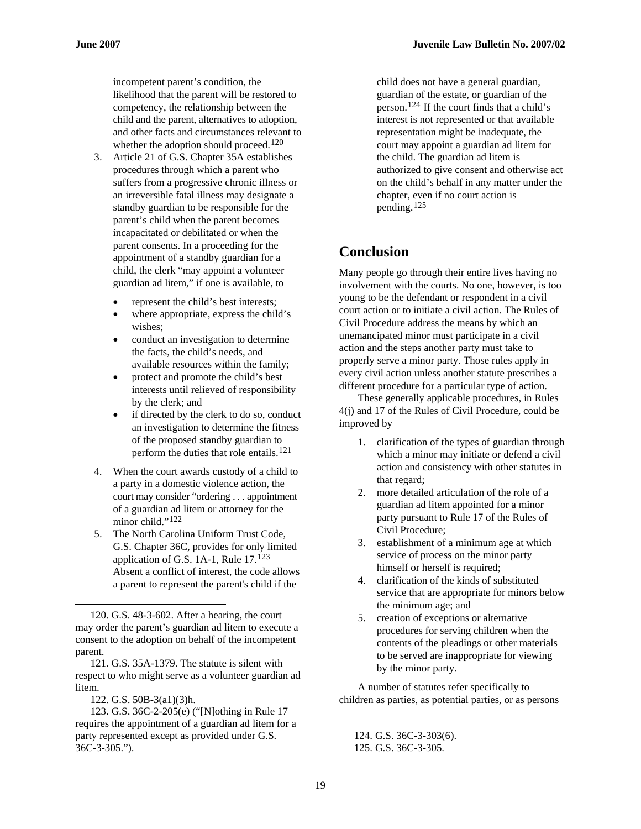incompetent parent's condition, the likelihood that the parent will be restored to competency, the relationship between the child and the parent, alternatives to adoption, and other facts and circumstances relevant to whether the adoption should proceed.<sup>[120](#page-18-0)</sup>

- 3. Article 21 of G.S. Chapter 35A establishes procedures through which a parent who suffers from a progressive chronic illness or an irreversible fatal illness may designate a standby guardian to be responsible for the parent's child when the parent becomes incapacitated or debilitated or when the parent consents. In a proceeding for the appointment of a standby guardian for a child, the clerk "may appoint a volunteer guardian ad litem," if one is available, to
	- represent the child's best interests;
	- where appropriate, express the child's wishes;
	- conduct an investigation to determine the facts, the child's needs, and available resources within the family;
	- protect and promote the child's best interests until relieved of responsibility by the clerk; and
	- if directed by the clerk to do so, conduct an investigation to determine the fitness of the proposed standby guardian to perform the duties that role entails.[121](#page-18-1)
- 4. When the court awards custody of a child to a party in a domestic violence action, the court may consider "ordering . . . appointment of a guardian ad litem or attorney for the minor child."<sup>[122](#page-18-2)</sup>
- 5. The North Carolina Uniform Trust Code, G.S. Chapter 36C, provides for only limited application of G.S. 1A-1, Rule  $17.123$  $17.123$ Absent a conflict of interest, the code allows a parent to represent the parent's child if the

<span id="page-18-1"></span>121. G.S. 35A-1379. The statute is silent with respect to who might serve as a volunteer guardian ad litem.

122. G.S. 50B-3(a1)(3)h.

 $\overline{a}$ 

child does not have a general guardian, guardian of the estate, or guardian of the person.[124](#page-18-4) If the court finds that a child's interest is not represented or that available representation might be inadequate, the court may appoint a guardian ad litem for the child. The guardian ad litem is authorized to give consent and otherwise act on the child's behalf in any matter under the chapter, even if no court action is pending.[125](#page-18-5)

## **Conclusion**

Many people go through their entire lives having no involvement with the courts. No one, however, is too young to be the defendant or respondent in a civil court action or to initiate a civil action. The Rules of Civil Procedure address the means by which an unemancipated minor must participate in a civil action and the steps another party must take to properly serve a minor party. Those rules apply in every civil action unless another statute prescribes a different procedure for a particular type of action.

These generally applicable procedures, in Rules 4(j) and 17 of the Rules of Civil Procedure, could be improved by

- 1. clarification of the types of guardian through which a minor may initiate or defend a civil action and consistency with other statutes in that regard;
- 2. more detailed articulation of the role of a guardian ad litem appointed for a minor party pursuant to Rule 17 of the Rules of Civil Procedure;
- 3. establishment of a minimum age at which service of process on the minor party himself or herself is required;
- 4. clarification of the kinds of substituted service that are appropriate for minors below the minimum age; and
- 5. creation of exceptions or alternative procedures for serving children when the contents of the pleadings or other materials to be served are inappropriate for viewing by the minor party.

A number of statutes refer specifically to children as parties, as potential parties, or as persons

124. G.S. 36C-3-303(6). 125. G.S. 36C-3-305.

<span id="page-18-0"></span><sup>120.</sup> G.S. 48-3-602. After a hearing, the court may order the parent's guardian ad litem to execute a consent to the adoption on behalf of the incompetent parent.

<span id="page-18-5"></span><span id="page-18-4"></span><span id="page-18-3"></span><span id="page-18-2"></span><sup>123.</sup> G.S. 36C-2-205(e) ("[N]othing in Rule 17 requires the appointment of a guardian ad litem for a party represented except as provided under G.S. 36C-3-305.").